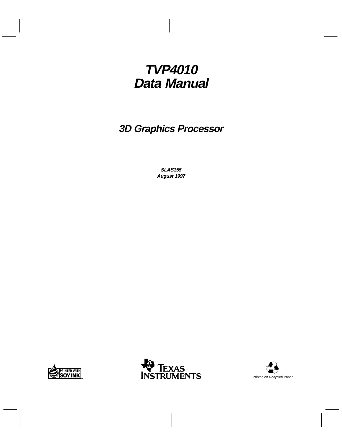# **TVP4010 Data Manual**

# **3D Graphics Processor**

**SLAS155 August 1997**





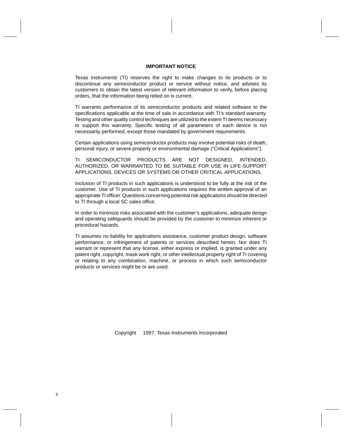#### **IMPORTANT NOTICE**

Texas Instruments (TI) reserves the right to make changes to its products or to discontinue any semiconductor product or service without notice, and advises its customers to obtain the latest version of relevant information to verify, before placing orders, that the information being relied on is current.

TI warrants performance of its semiconductor products and related software to the specifications applicable at the time of sale in accordance with TI's standard warranty. Testing and other quality control techniques are utilized to the extent TI deems necessary to support this warranty. Specific testing of all parameters of each device is not necessarily performed, except those mandated by government requirements.

Certain applications using semiconductor products may involve potential risks of death, personal injury, or severe property or environmental damage ("Critical Applications").

TI SEMICONDUCTOR PRODUCTS ARE NOT DESIGNED, INTENDED, AUTHORIZED, OR WARRANTED TO BE SUITABLE FOR USE IN LIFE-SUPPORT APPLICATIONS, DEVICES OR SYSTEMS OR OTHER CRITICAL APPLICATIONS.

Inclusion of TI products in such applications is understood to be fully at the risk of the customer. Use of TI products in such applications requires the written approval of an appropriate TI officer. Questions concerning potential risk applications should be directed to TI through a local SC sales office.

In order to minimize risks associated with the customer's applications, adequate design and operating safeguards should be provided by the customer to minimize inherent or procedural hazards.

TI assumes no liability for applications assistance, customer product design, software performance, or infringement of patents or services described herein. Nor does TI warrant or represent that any license, either express or implied, is granted under any patent right, copyright, mask work right, or other intellectual property right of TI covering or relating to any combination, machine, or process in which such semiconductor products or services might be or are used.

Copyright 1997, Texas Instruments Incorporated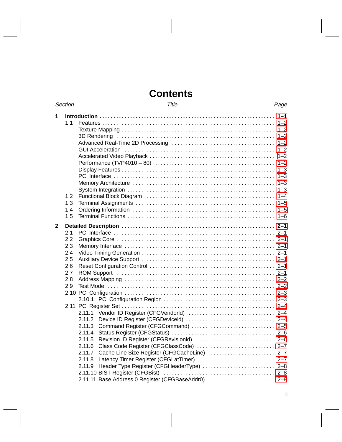# **Contents**

| Section                                                                                                                                | Title                                                                                     | Page                                                |
|----------------------------------------------------------------------------------------------------------------------------------------|-------------------------------------------------------------------------------------------|-----------------------------------------------------|
| 1<br>1.1<br>1.2<br>1.3<br>1.4<br>1.5                                                                                                   |                                                                                           | $1 - 1$<br>$1 - 2$<br>$1 - 2$<br>$1 - 3$<br>$1 - 3$ |
| 2<br>2.1<br>2.2<br>2.3<br>2.4<br>2.5<br>2.6<br>2.7<br>2.8<br>2.9<br>2.11.2<br>2.11.3<br>2.11.4<br>2.11.5<br>2.11.6<br>2.11.7<br>2.11.8 | Cache Line Size Register (CFGCacheLine)  2-7<br>Latency Timer Register (CFGLatTimer)  2-7 |                                                     |

2.11.11 Base Address 0 Register (CFGBaseAddr0) [2–8](#page-28-0) . . . . . . . . . . . . . . . . . . . . . . . .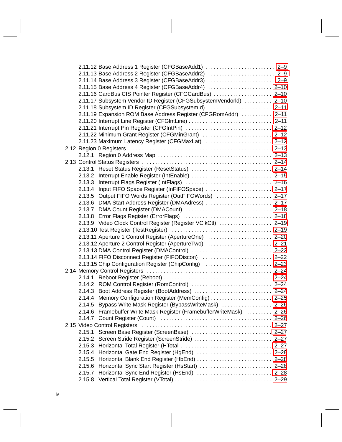| 2.11.14 Base Address 3 Register (CFGBaseAddr3)  2-9                 |  |
|---------------------------------------------------------------------|--|
| 2.11.15 Base Address 4 Register (CFGBaseAddr4)  2-10                |  |
| 2.11.16 CardBus CIS Pointer Register (CFGCardBus)  2-10             |  |
| 2.11.17 Subsystem Vendor ID Register (CFGSubsystemVendorld)  2-10   |  |
|                                                                     |  |
| 2.11.19 Expansion ROM Base Address Register (CFGRomAddr)  2-11      |  |
|                                                                     |  |
|                                                                     |  |
| 2.11.22 Minimum Grant Register (CFGMinGrant)  2-12                  |  |
| 2.11.23 Maximum Latency Register (CFGMaxLat)  2-12                  |  |
|                                                                     |  |
|                                                                     |  |
|                                                                     |  |
|                                                                     |  |
|                                                                     |  |
|                                                                     |  |
| 2.13.4 Input FIFO Space Register (InFIFOSpace)  2-17                |  |
| 2.13.5 Output FIFO Words Register (OutFIFOWords)  2-17              |  |
|                                                                     |  |
|                                                                     |  |
|                                                                     |  |
| 2.13.9 Video Clock Control Register (Register VCIkCtI)  2-19        |  |
|                                                                     |  |
| 2.13.11 Aperture 1 Control Register (ApertureOne)  2-20             |  |
| 2.13.12 Aperture 2 Control Register (ApertureTwo)  2-21             |  |
| 2.13.13 DMA Control Register (DMAControl)  2-22                     |  |
| 2.13.14 FIFO Disconnect Register (FIFODiscon)  2-22                 |  |
| 2.13.15 Chip Configuration Register (ChipConfig)  2-23              |  |
|                                                                     |  |
|                                                                     |  |
|                                                                     |  |
|                                                                     |  |
| 2.14.4 Memory Configuration Register (MemConfig)  2-25              |  |
| 2.14.5 Bypass Write Mask Register (BypassWriteMask)  2-26           |  |
| 2.14.6 Framebuffer Write Mask Register (FramebufferWriteMask)  2-26 |  |
|                                                                     |  |
|                                                                     |  |
| 2.15.1                                                              |  |
| Screen Stride Register (ScreenStride)  2-27<br>2.15.2               |  |
| 2.15.3                                                              |  |
| Horizontal Gate End Register (HgEnd)  2-28<br>2.15.4                |  |
| 2.15.5                                                              |  |
| Horizontal Sync Start Register (HsStart)  2-28<br>2.15.6            |  |
| 2.15.7                                                              |  |
| 2.15.8                                                              |  |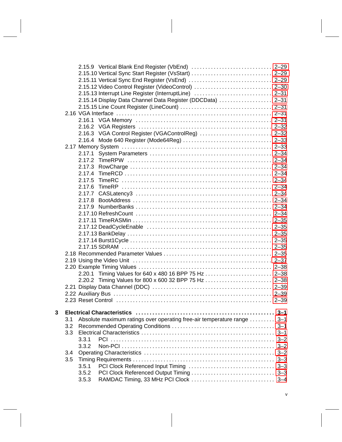|   |     | 2.15.10 Vertical Sync Start Register (VsStart)  2-29                    |         |
|---|-----|-------------------------------------------------------------------------|---------|
|   |     | 2.15.11 Vertical Sync End Register (VsEnd)  2-29                        |         |
|   |     | 2.15.12 Video Control Register (VideoControl)  2-30                     |         |
|   |     | 2.15.13 Interrupt Line Register (InterruptLine)  2-31                   |         |
|   |     | 2.15.14 Display Data Channel Data Register (DDCData)  2-31              |         |
|   |     |                                                                         |         |
|   |     |                                                                         |         |
|   |     |                                                                         |         |
|   |     |                                                                         |         |
|   |     | 2.16.3 VGA Control Register (VGAControlReg)  2-32                       |         |
|   |     | 2.16.4                                                                  |         |
|   |     |                                                                         |         |
|   |     | 2.17.1                                                                  |         |
|   |     | 2.17.2                                                                  |         |
|   |     | 2.17.3                                                                  |         |
|   |     | 2.17.4                                                                  |         |
|   |     | 2.17.5                                                                  |         |
|   |     | 2.17.6                                                                  |         |
|   |     | 2.17.7                                                                  |         |
|   |     | 2.17.8                                                                  |         |
|   |     | 2.17.9                                                                  |         |
|   |     |                                                                         |         |
|   |     |                                                                         |         |
|   |     |                                                                         |         |
|   |     |                                                                         |         |
|   |     |                                                                         |         |
|   |     |                                                                         |         |
|   |     |                                                                         |         |
|   |     |                                                                         |         |
|   |     |                                                                         |         |
|   |     |                                                                         |         |
|   |     |                                                                         |         |
|   |     |                                                                         |         |
|   |     |                                                                         |         |
|   |     |                                                                         |         |
|   |     |                                                                         |         |
| 3 |     | Electrical Characteristics                                              | $3 - 1$ |
|   | 3.1 | Absolute maximum ratings over operating free-air temperature range  3-1 |         |
|   | 3.2 |                                                                         | $3 - 1$ |
|   | 3.3 |                                                                         |         |
|   |     | 3.3.1                                                                   |         |
|   |     | 3.3.2                                                                   |         |
|   | 3.4 |                                                                         |         |
|   | 3.5 |                                                                         |         |
|   |     | 3.5.1                                                                   |         |
|   |     | 3.5.2                                                                   |         |
|   |     | 3.5.3                                                                   |         |
|   |     |                                                                         |         |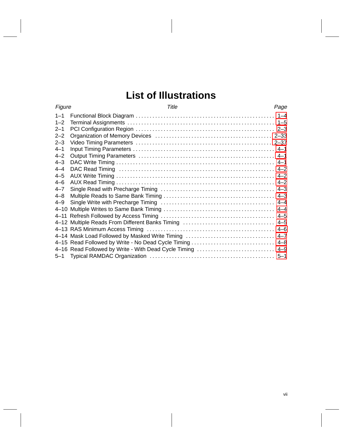# **List of Illustrations**

| Figure                        | Title                                                                                                            | Page |
|-------------------------------|------------------------------------------------------------------------------------------------------------------|------|
| $1 - 1$<br>$1 - 2$<br>$2 - 1$ |                                                                                                                  |      |
| $2 - 2$<br>$2 - 3$            |                                                                                                                  |      |
| $4 - 1$<br>$4 - 2$            |                                                                                                                  |      |
| $4 - 3$<br>$4 - 4$            |                                                                                                                  |      |
| $4 - 5$<br>$4 - 6$            |                                                                                                                  |      |
| $4 - 7$<br>$4 - 8$<br>$4 - 9$ |                                                                                                                  |      |
|                               |                                                                                                                  |      |
|                               |                                                                                                                  |      |
|                               | 4-14 Mask Load Followed by Masked Write Timing  4-7<br>4-16 Read Followed by Write - With Dead Cycle Timing  4-9 |      |
| 5–1                           |                                                                                                                  |      |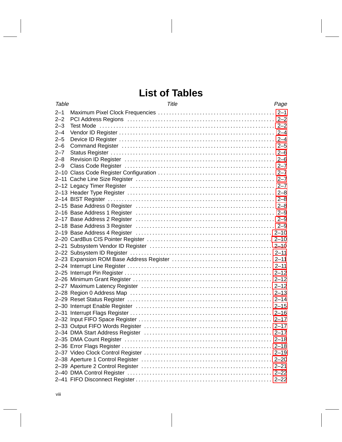# **List of Tables**

| <b>Table</b> | <b>Title</b> | Page |
|--------------|--------------|------|
| $2 - 1$      |              |      |
| $2 - 2$      |              |      |
| $2 - 3$      |              |      |
| $2 - 4$      |              |      |
| $2 - 5$      |              |      |
| $2 - 6$      |              |      |
| $2 - 7$      |              |      |
| $2 - 8$      |              |      |
| $2 - 9$      |              |      |
|              |              |      |
|              |              |      |
|              |              |      |
|              |              |      |
|              |              |      |
|              |              |      |
|              |              |      |
|              |              |      |
|              |              |      |
|              |              |      |
|              |              |      |
|              |              |      |
|              |              |      |
|              |              |      |
|              |              |      |
|              |              |      |
|              |              |      |
|              |              |      |
|              |              |      |
|              |              |      |
|              |              |      |
|              |              |      |
|              |              |      |
|              |              |      |
|              |              |      |
|              |              |      |
|              |              |      |
|              |              |      |
|              |              |      |
|              |              |      |
|              |              |      |
|              |              |      |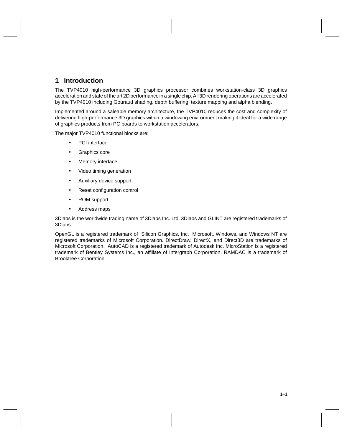# <span id="page-9-0"></span>**1 Introduction**

The TVP4010 high-performance 3D graphics processor combines workstation-class 3D graphics acceleration and state of the art 2D performance in a single chip. All 3D rendering operations are accelerated by the TVP4010 including Gouraud shading, depth buffering, texture mapping and alpha blending.

Implemented around a saleable memory architecture, the TVP4010 reduces the cost and complexity of delivering high-performance 3D graphics within a windowing environment making it ideal for a wide range of graphics products from PC boards to workstation accelerators.

The major TVP4010 functional blocks are:

- PCI interface
- Graphics core
- Memory interface
- Video timing generation
- Auxiliary device support
- Reset configuration control
- ROM support
- Address maps

3Dlabs is the worldwide trading name of 3Dlabs Inc. Ltd. 3Dlabs and GLINT are registered trademarks of 3Dlabs.

OpenGL is a registered trademark of Silicon Graphics, Inc. Microsoft, Windows, and Windows NT are registered trademarks of Microsoft Corporation. DirectDraw, DirectX, and Direct3D are trademarks of Microsoft Corporation. AutoCAD is a registered trademark of Autodesk Inc. MicroStation is a registered trademark of Bentley Systems Inc., an affiliate of Intergraph Corporation. RAMDAC is a trademark of Brooktree Corporation.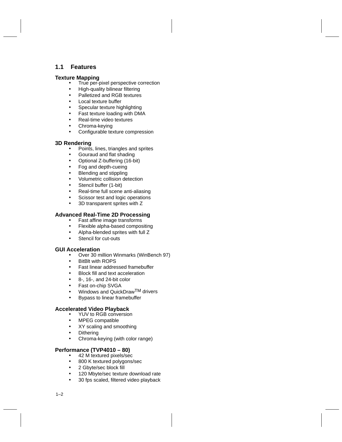## <span id="page-10-0"></span>**1.1 Features**

## **Texture Mapping**

- True per-pixel perspective correction
- High-quality bilinear filtering
- Palletized and RGB textures
- Local texture buffer
- Specular texture highlighting
- Fast texture loading with DMA
- Real-time video textures
- Chroma-keying
- Configurable texture compression

## **3D Rendering**

- Points, lines, triangles and sprites
- Gouraud and flat shading
- Optional Z-buffering (16-bit)
- Fog and depth-cueing
- Blending and stippling
- Volumetric collision detection
- Stencil buffer (1-bit)
- Real-time full scene anti-aliasing
- Scissor test and logic operations
- 3D transparent sprites with Z

## **Advanced Real-Time 2D Processing**

- Fast affine image transforms
- Flexible alpha-based compositing
- Alpha-blended sprites with full Z
- Stencil for cut-outs

## **GUI Acceleration**

- Over 30 million Winmarks (WinBench 97)
- BitBlt with ROPS
- Fast linear addressed framebuffer
- Block fill and text acceleration
- 8-, 16-, and 24-bit color
- Fast on-chip SVGA
- Windows and QuickDrawTM drivers
- Bypass to linear framebuffer

## **Accelerated Video Playback**

- YUV to RGB conversion
- MPEG compatible
- XY scaling and smoothing
- **Dithering**
- Chroma-keying (with color range)

## **Performance (TVP4010 – 80)**

- 42 M textured pixels/sec
- 800 K textured polygons/sec
- 2 Gbyte/sec block fill
- 120 Mbyte/sec texture download rate
- 30 fps scaled, filtered video playback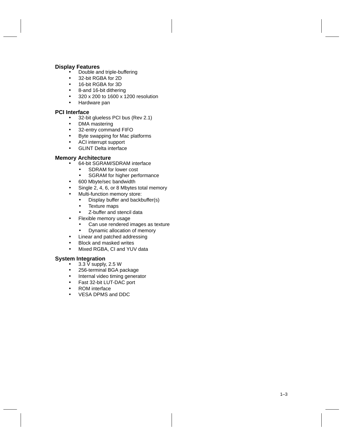#### <span id="page-11-0"></span>**Display Features**

- Double and triple-buffering
- 32-bit RGBA for 2D
- 16-bit RGBA for 3D
- 8-and 16-bit dithering
- 320 x 200 to 1600 x 1200 resolution
- Hardware pan

#### **PCI Interface**

- 32-bit glueless PCI bus (Rev 2.1)
- DMA mastering
- 32-entry command FIFO
- Byte swapping for Mac platforms
- ACI interrupt support
- GLINT Delta interface

#### **Memory Architecture**

- 64-bit SGRAM/SDRAM interface
	- SDRAM for lower cost
	- SGRAM for higher performance
- 600 Mbyte/sec bandwidth
- Single 2, 4, 6, or 8 Mbytes total memory
- Multi-function memory store:
	- Display buffer and backbuffer(s)
	- Texture maps
	- Z-buffer and stencil data
- Flexible memory usage
	- Can use rendered images as texture
	- Dynamic allocation of memory
- Linear and patched addressing
- Block and masked writes
- Mixed RGBA, CI and YUV data

#### **System Integration**

- 3.3  $\bar{V}$  supply, 2.5 W
- 256-terminal BGA package
- Internal video timing generator
- Fast 32-bit LUT-DAC port
- ROM interface
- VESA DPMS and DDC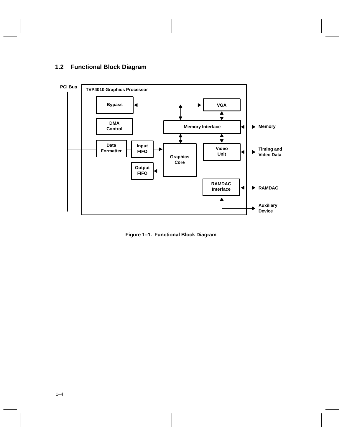# <span id="page-12-0"></span>**1.2 Functional Block Diagram**



**Figure 1–1. Functional Block Diagram**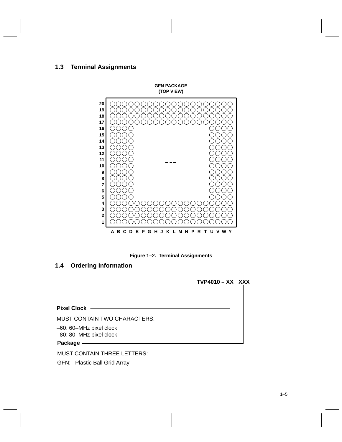## <span id="page-13-0"></span>**1.3 Terminal Assignments**





## **1.4 Ordering Information**



**Pixel Clock**

MUST CONTAIN TWO CHARACTERS:

–60: 60–MHz pixel clock –80: 80–MHz pixel clock

#### **Package**

MUST CONTAIN THREE LETTERS:

GFN: Plastic Ball Grid Array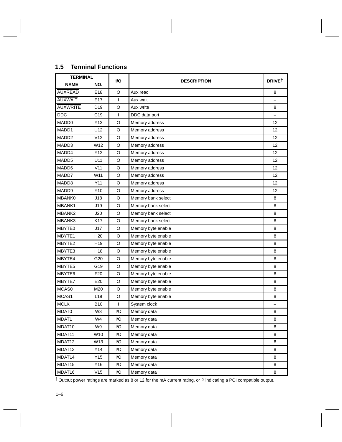# <span id="page-14-0"></span>**1.5 Terminal Functions**

| <b>TERMINAL</b>   |                 |     |                    |               |
|-------------------|-----------------|-----|--------------------|---------------|
| <b>NAME</b>       | NO.             | I/O | <b>DESCRIPTION</b> | <b>DRIVET</b> |
| <b>AUXREAD</b>    | E18             | O   | Aux read           | 8             |
| <b>AUXWAIT</b>    | E <sub>17</sub> | I   | Aux wait           |               |
| <b>AUXWRITE</b>   | D19             | O   | Aux write          | 8             |
| <b>DDC</b>        | C <sub>19</sub> | I   | DDC data port      | -             |
| MADD <sub>0</sub> | Y13             | O   | Memory address     | 12            |
| MADD1             | U12             | O   | Memory address     | 12            |
| MADD <sub>2</sub> | V12             | O   | Memory address     | 12            |
| MADD3             | W12             | O   | Memory address     | 12            |
| MADD4             | Y12             | O   | Memory address     | 12            |
| MADD <sub>5</sub> | U11             | O   | Memory address     | 12            |
| MADD <sub>6</sub> | V <sub>11</sub> | O   | Memory address     | 12            |
| MADD7             | W11             | O   | Memory address     | 12            |
| MADD <sub>8</sub> | Y11             | O   | Memory address     | 12            |
| MADD <sub>9</sub> | Y10             | O   | Memory address     | 12            |
| <b>MBANK0</b>     | J18             | O   | Memory bank select | 8             |
| MBANK1            | J19             | O   | Memory bank select | 8             |
| MBANK2            | J20             | O   | Memory bank select | 8             |
| MBANK3            | K17             | O   | Memory bank select | 8             |
| MBYTE0            | J17             | O   | Memory byte enable | 8             |
| MBYTE1            | H <sub>20</sub> | O   | Memory byte enable | 8             |
| MBYTE2            | H <sub>19</sub> | O   | Memory byte enable | 8             |
| MBYTE3            | H <sub>18</sub> | O   | Memory byte enable | 8             |
| MBYTE4            | G20             | O   | Memory byte enable | 8             |
| MBYTE5            | G19             | O   | Memory byte enable | 8             |
| MBYTE6            | F <sub>20</sub> | O   | Memory byte enable | 8             |
| MBYTE7            | E20             | O   | Memory byte enable | 8             |
| MCAS <sub>0</sub> | M20             | O   | Memory byte enable | 8             |
| MCAS1             | L <sub>19</sub> | O   | Memory byte enable | 8             |
| <b>MCLK</b>       | <b>B10</b>      | I   | System clock       |               |
| MDAT0             | W3              | I/O | Memory data        | 8             |
| MDAT1             | W4              | I/O | Memory data        | 8             |
| MDAT10            | W9              | I/O | Memory data        | 8             |
| MDAT11            | W10             | I/O | Memory data        | 8             |
| MDAT12            | W13             | I/O | Memory data        | 8             |
| MDAT13            | Y14             | I/O | Memory data        | 8             |
| MDAT14            | Y15             | I/O | Memory data        | 8             |
| MDAT15            | Y16             | I/O | Memory data        | 8             |
| MDAT16            | V15             | I/O | Memory data        | 8             |

† Output power ratings are marked as 8 or 12 for the mA current rating, or P indicating a PCI compatible output.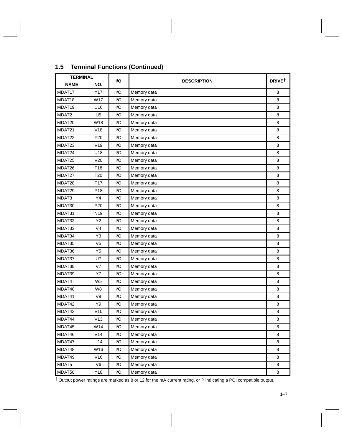| <b>TERMINAL</b>    |                 |     |                    |               |
|--------------------|-----------------|-----|--------------------|---------------|
| <b>NAME</b>        | NO.             | VO. | <b>DESCRIPTION</b> | <b>DRIVET</b> |
| MDAT17             | Y17             | I/O | Memory data        | 8             |
| MDAT18             | W17             | I/O | Memory data        | 8             |
| MDAT <sub>19</sub> | U16             | I/O | Memory data        | 8             |
| MDAT2              | U <sub>5</sub>  | I/O | Memory data        | 8             |
| MDAT20             | W18             | I/O | Memory data        | 8             |
| MDAT <sub>21</sub> | V18             | I/O | Memory data        | 8             |
| MDAT22             | Y20             | I/O | Memory data        | 8             |
| MDAT23             | V19             | I/O | Memory data        | 8             |
| MDAT24             | U18             | I/O | Memory data        | 8             |
| MDAT25             | V20             | I/O | Memory data        | 8             |
| MDAT26             | T18             | I/O | Memory data        | 8             |
| MDAT27             | T20             | I/O | Memory data        | 8             |
| MDAT28             | P <sub>17</sub> | I/O | Memory data        | 8             |
| MDAT29             | P18             | I/O | Memory data        | 8             |
| MDAT3              | Y4              | I/O | Memory data        | 8             |
| MDAT30             | P20             | I/O | Memory data        | 8             |
| MDAT31             | N <sub>19</sub> | I/O | Memory data        | 8             |
| MDAT32             | <b>Y2</b>       | I/O | Memory data        | 8             |
| MDAT33             | V <sub>4</sub>  | I/O | Memory data        | 8             |
| MDAT34             | Y <sub>3</sub>  | I/O | Memory data        | 8             |
| MDAT35             | V <sub>5</sub>  | I/O | Memory data        | 8             |
| MDAT36             | Y <sub>5</sub>  | I/O | Memory data        | 8             |
| MDAT37             | U7              | I/O | Memory data        | 8             |
| MDAT38             | V <sub>7</sub>  | I/O | Memory data        | 8             |
| MDAT39             | Y7              | I/O | Memory data        | 8             |
| MDAT4              | W <sub>5</sub>  | I/O | Memory data        | 8             |
| MDAT40             | W <sub>8</sub>  | I/O | Memory data        | 8             |
| MDAT41             | V9              | I/O | Memory data        | 8             |
| MDAT42             | Y9              | I/O | Memory data        | 8             |
| MDAT43             | V10             | I/O | Memory data        | 8             |
| MDAT44             | V13             | I/O | Memory data        | 8             |
| MDAT45             | W14             | I/O | Memory data        | 8             |
| MDAT46             | V14             | I/O | Memory data        | 8             |
| MDAT47             | U14             | I/O | Memory data        | 8             |
| MDAT48             | W16             | I/O | Memory data        | 8             |
| MDAT49             | V16             | I/O | Memory data        | 8             |
| MDAT5              | V6              | I/O | Memory data        | 8             |
| MDAT50             | Y18             | I/O | Memory data        | 8             |

† Output power ratings are marked as 8 or 12 for the mA current rating, or P indicating a PCI compatible output.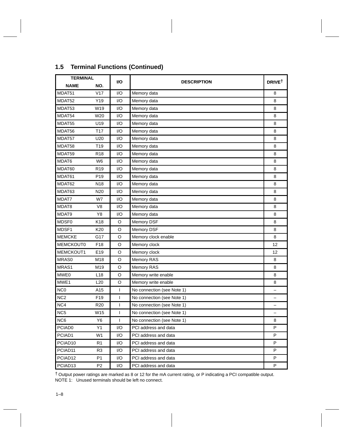| <b>TERMINAL</b>     |                 |     |                            |                          |
|---------------------|-----------------|-----|----------------------------|--------------------------|
| <b>NAME</b>         | NO.             | VO  | <b>DESCRIPTION</b>         | <b>DRIVET</b>            |
| MDAT51              | V17             | 1/O | Memory data                | 8                        |
| MDAT52              | Y19             | 1/O | Memory data                | 8                        |
| MDAT53              | W19             | I/O | Memory data                | 8                        |
| MDAT54              | W20             | I/O | Memory data                | 8                        |
| MDAT55              | U19             | I/O | Memory data                | 8                        |
| MDAT56              | T <sub>17</sub> | 1/O | Memory data                | 8                        |
| MDAT57              | U20             | I/O | Memory data                | 8                        |
| MDAT58              | T <sub>19</sub> | I/O | Memory data                | 8                        |
| MDAT59              | R <sub>18</sub> | 1/O | Memory data                | 8                        |
| MDAT6               | W <sub>6</sub>  | I/O | Memory data                | 8                        |
| MDAT60              | R <sub>19</sub> | I/O | Memory data                | 8                        |
| MDAT61              | P <sub>19</sub> | I/O | Memory data                | 8                        |
| MDAT62              | N <sub>18</sub> | I/O | Memory data                | 8                        |
| MDAT63              | N <sub>20</sub> | I/O | Memory data                | 8                        |
| MDAT7               | W7              | I/O | Memory data                | 8                        |
| MDAT8               | V8              | I/O | Memory data                | 8                        |
| MDAT9               | Y8              | I/O | Memory data                | 8                        |
| MDSF0               | K <sub>18</sub> | O   | Memory DSF                 | 8                        |
| MDSF1               | K <sub>20</sub> | O   | Memory DSF                 | 8                        |
| <b>MEMCKE</b>       | G17             | O   | Memory clock enable        | 8                        |
| <b>MEMCKOUT0</b>    | F <sub>18</sub> | O   | Memory clock               | 12                       |
| MEMCKOUT1           | E <sub>19</sub> | O   | Memory clock               | 12                       |
| MRAS0               | M18             | O   | Memory RAS                 | 8                        |
| MRAS1               | M19             | O   | <b>Memory RAS</b>          | 8                        |
| MWE0                | L <sub>18</sub> | O   | Memory write enable        | 8                        |
| MWE1                | L <sub>20</sub> | O   | Memory write enable        | 8                        |
| NC <sub>0</sub>     | A15             | T   | No connection (see Note 1) | $\overline{\phantom{0}}$ |
| NC <sub>2</sub>     | F <sub>19</sub> | T   | No connection (see Note 1) |                          |
| NC4                 | R <sub>20</sub> | I   | No connection (see Note 1) | -                        |
| NC <sub>5</sub>     | W15             | T   | No connection (see Note 1) | $\overline{\phantom{0}}$ |
| NC <sub>6</sub>     | Y <sub>6</sub>  | L   | No connection (see Note 1) | 8                        |
| PCIAD0              | Y1              | I/O | PCI address and data       | P                        |
| PCIAD1              | W <sub>1</sub>  | I/O | PCI address and data       | P                        |
| PCIAD10             | R <sub>1</sub>  | I/O | PCI address and data       | P                        |
| PCIAD11             | R <sub>3</sub>  | I/O | PCI address and data       | P                        |
| PCIAD12             | P <sub>1</sub>  | I/O | PCI address and data       | P                        |
| PCIAD <sub>13</sub> | P <sub>2</sub>  | I/O | PCI address and data       | P                        |

† Output power ratings are marked as 8 or 12 for the mA current rating, or P indicating a PCI compatible output. NOTE 1: Unused terminals should be left no connect.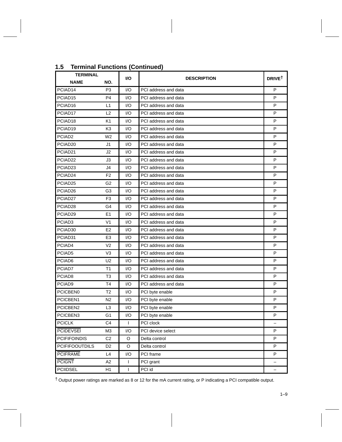| <b>TERMINAL</b>       |                | VO.          |                      | <b>DRIVET</b>            |
|-----------------------|----------------|--------------|----------------------|--------------------------|
| <b>NAME</b>           | NO.            |              | <b>DESCRIPTION</b>   |                          |
| PCIAD <sub>14</sub>   | P3             | 1/O          | PCI address and data | P                        |
| PCIAD <sub>15</sub>   | P4             | 1/O          | PCI address and data | P                        |
| PCIAD <sub>16</sub>   | L1             | 1/O          | PCI address and data | P                        |
| PCIAD17               | L2             | I/O          | PCI address and data | P                        |
| PCIAD <sub>18</sub>   | K <sub>1</sub> | 1/O          | PCI address and data | P                        |
| PCIAD <sub>19</sub>   | K <sub>3</sub> | 1/O          | PCI address and data | P                        |
| PCIAD <sub>2</sub>    | W <sub>2</sub> | 1/O          | PCI address and data | P                        |
| PCIAD <sub>20</sub>   | J1             | I/O          | PCI address and data | P                        |
| PCIAD <sub>21</sub>   | J2             | I/O          | PCI address and data | P                        |
| PCIAD <sub>22</sub>   | JЗ             | 1/O          | PCI address and data | P                        |
| PCIAD <sub>23</sub>   | J4             | I/O          | PCI address and data | P                        |
| PCIAD <sub>24</sub>   | F <sub>2</sub> | I/O          | PCI address and data | P                        |
| PCIAD <sub>25</sub>   | G2             | 1/O          | PCI address and data | P                        |
| PCIAD26               | G <sub>3</sub> | 1/O          | PCI address and data | P                        |
| PCIAD <sub>27</sub>   | F3             | I/O          | PCI address and data | P                        |
| PCIAD <sub>28</sub>   | G4             | I/O          | PCI address and data | P                        |
| PCIAD29               | E1             | 1/O          | PCI address and data | P                        |
| PCIAD <sub>3</sub>    | V <sub>1</sub> | 1/O          | PCI address and data | P                        |
| PCIAD <sub>30</sub>   | E <sub>2</sub> | 1/O          | PCI address and data | P                        |
| PCIAD31               | E <sub>3</sub> | 1/O          | PCI address and data | P                        |
| PCIAD4                | V <sub>2</sub> | 1/O          | PCI address and data | P                        |
| PCIAD <sub>5</sub>    | V <sub>3</sub> | 1/O          | PCI address and data | P                        |
| PCIAD6                | U <sub>2</sub> | 1/O          | PCI address and data | P                        |
| PCIAD7                | T1             | 1/O          | PCI address and data | P                        |
| PCIAD <sub>8</sub>    | T3             | 1/O          | PCI address and data | P                        |
| PCIAD9                | T <sub>4</sub> | I/O          | PCI address and data | P                        |
| <b>PCICBEN0</b>       | T <sub>2</sub> | 1/O          | PCI byte enable      | P                        |
| PCICBEN1              | N <sub>2</sub> | I/O          | PCI byte enable      | P                        |
| PCICBEN2              | L3             | I/O          | PCI byte enable      | P                        |
| PCICBEN3              | G1             | 1/O          | PCI byte enable      | P                        |
| <b>PCICLK</b>         | C4             | $\mathbf{I}$ | PCI clock            | $\overline{\phantom{m}}$ |
| <b>PCIDEVSEI</b>      | ΜЗ             | I/O          | PCI device select    | P                        |
| <b>PCIFIFOINDIS</b>   | C <sub>2</sub> | O            | Delta control        | P                        |
| <b>PCIFIFOOUTDILS</b> | D <sub>2</sub> | O            | Delta control        | P                        |
| <b>PCIFRAME</b>       | L4             | I/O          | PCI frame            | P                        |
| <b>PCIGNT</b>         | A <sub>2</sub> | I            | PCI grant            |                          |
| PCIIDSEL              | H1             | T            | PCI id               |                          |

† Output power ratings are marked as 8 or 12 for the mA current rating, or P indicating a PCI compatible output.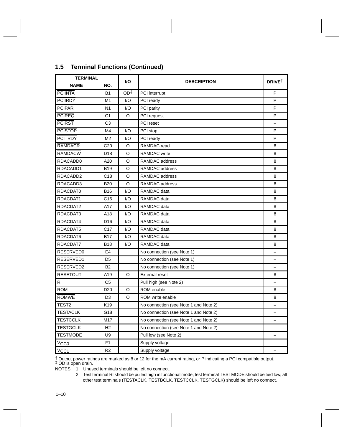| <b>TERMINAL</b>   |                 | VO.             | <b>DESCRIPTION</b>                    |                    |
|-------------------|-----------------|-----------------|---------------------------------------|--------------------|
| <b>NAME</b>       | NO.             |                 |                                       | DRIVE <sup>T</sup> |
| <b>PCIINTA</b>    | <b>B1</b>       | OD <sup>‡</sup> | PCI interrupt                         | P                  |
| <b>PCIIRDY</b>    | M1              | 1/O             | PCI ready                             | P                  |
| <b>PCIPAR</b>     | N <sub>1</sub>  | 1/O             | <b>PCI</b> parity                     | P                  |
| <b>PCIREQ</b>     | C <sub>1</sub>  | O               | PCI request                           | P                  |
| <b>PCIRST</b>     | C <sub>3</sub>  | $\mathbf{I}$    | PCI reset                             | L.                 |
| <b>PCISTOP</b>    | M4              | 1/O             | PCI stop                              | P                  |
| <b>PCITRDY</b>    | M <sub>2</sub>  | I/O             | PCI ready                             | P                  |
| <b>RAMDACR</b>    | C <sub>20</sub> | O               | RAMDAC read                           | 8                  |
| <b>RAMDACW</b>    | D <sub>18</sub> | O               | <b>RAMDAC</b> write                   | 8                  |
| RDACADD0          | A20             | O               | RAMDAC address                        | 8                  |
| RDACADD1          | <b>B19</b>      | O               | RAMDAC address                        | 8                  |
| RDACADD2          | C <sub>18</sub> | O               | RAMDAC address                        | 8                  |
| RDACADD3          | <b>B20</b>      | O               | RAMDAC address                        | 8                  |
| RDACDAT0          | <b>B16</b>      | 1/O             | RAMDAC data                           | 8                  |
| RDACDAT1          | C <sub>16</sub> | 1/O             | RAMDAC data                           | 8                  |
| RDACDAT2          | A17             | 1/O             | RAMDAC data                           | 8                  |
| RDACDAT3          | A18             | I/O             | RAMDAC data                           | 8                  |
| RDACDAT4          | D <sub>16</sub> | 1/O             | RAMDAC data                           | 8                  |
| RDACDAT5          | C <sub>17</sub> | 1/O             | RAMDAC data                           | 8                  |
| RDACDAT6          | <b>B17</b>      | 1/O             | RAMDAC data                           | 8                  |
| RDACDAT7          | <b>B18</b>      | 1/O             | RAMDAC data                           | 8                  |
| RESERVED0         | E4              | $\mathbf{I}$    | No connection (see Note 1)            | -                  |
| RESERVED1         | D <sub>5</sub>  | $\mathbf{I}$    | No connection (see Note 1)            | -                  |
| RESERVED2         | <b>B2</b>       | $\mathbf{I}$    | No connection (see Note 1)            | ÷                  |
| <b>RESETOUT</b>   | A19             | O               | <b>External reset</b>                 | 8                  |
| RI                | C <sub>5</sub>  | $\mathbf{I}$    | Pull high (see Note 2)                |                    |
| <b>ROM</b>        | D <sub>20</sub> | O               | ROM enable                            | 8                  |
| <b>ROMWE</b>      | D <sub>3</sub>  | O               | ROM write enable                      | 8                  |
| TEST <sub>2</sub> | K <sub>19</sub> | $\mathbf{I}$    | No connection (see Note 1 and Note 2) |                    |
| <b>TESTACLK</b>   | G18             | $\mathbf{I}$    | No connection (see Note 1 and Note 2) |                    |
| <b>TESTCCLK</b>   | M17             | $\mathbf{I}$    | No connection (see Note 1 and Note 2) |                    |
| <b>TESTGCLK</b>   | H2              | $\mathbf{I}$    | No connection (see Note 1 and Note 2) |                    |
| <b>TESTMODE</b>   | U9              | $\mathbf{I}$    | Pull low (see Note 2)                 |                    |
| V <sub>CC0</sub>  | F <sub>1</sub>  |                 | Supply voltage                        |                    |
| V <sub>CC1</sub>  | R <sub>2</sub>  |                 | Supply voltage                        |                    |

† Output power ratings are marked as 8 or 12 for the mA current rating, or P indicating a PCI compatible output. ‡ OD is open drain.

NOTES: 1. Unused terminals should be left no connect.

2. Test terminal RI should be pulled high in functional mode, test terminal TESTMODE should be tied low, all other test terminals (TESTACLK, TESTBCLK, TESTCCLK, TESTGCLK) should be left no connect.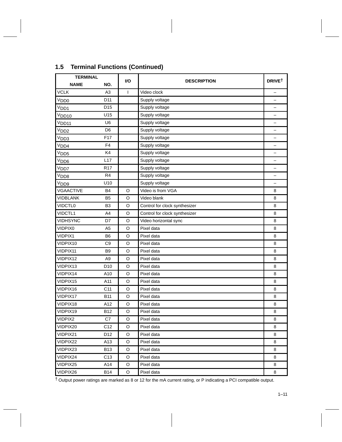| <b>TERMINAL</b>   |                 | <b>VO</b>    | <b>DESCRIPTION</b>            | <b>DRIVET</b>            |
|-------------------|-----------------|--------------|-------------------------------|--------------------------|
| <b>NAME</b>       | NO.             |              |                               |                          |
| <b>VCLK</b>       | A <sub>3</sub>  | $\mathbf{I}$ | Video clock                   |                          |
| V <sub>DD0</sub>  | D <sub>11</sub> |              | Supply voltage                |                          |
| V <sub>DD1</sub>  | D <sub>15</sub> |              | Supply voltage                | -                        |
| V <sub>DD10</sub> | U15             |              | Supply voltage                | -                        |
| V <sub>DD11</sub> | U <sub>6</sub>  |              | Supply voltage                | $\overline{\phantom{0}}$ |
| V <sub>DD2</sub>  | D <sub>6</sub>  |              | Supply voltage                |                          |
| V <sub>DD3</sub>  | F17             |              | Supply voltage                | -                        |
| V <sub>DD4</sub>  | F <sub>4</sub>  |              | Supply voltage                | $\overline{\phantom{0}}$ |
| V <sub>DD5</sub>  | K4              |              | Supply voltage                |                          |
| V <sub>DD6</sub>  | L17             |              | Supply voltage                | $\overline{\phantom{0}}$ |
| <sup>V</sup> DD7  | R <sub>17</sub> |              | Supply voltage                | $\overline{\phantom{0}}$ |
| V <sub>DD8</sub>  | R <sub>4</sub>  |              | Supply voltage                | $\overline{\phantom{0}}$ |
| V <sub>DD9</sub>  | U10             |              | Supply voltage                | $\equiv$                 |
| <b>VGAACTIVE</b>  | <b>B4</b>       | $\circ$      | Video is from VGA             | 8                        |
| <b>VIDBLANK</b>   | B <sub>5</sub>  | O            | Video blank                   | 8                        |
| <b>VIDCTL0</b>    | B <sub>3</sub>  | O            | Control for clock synthesizer | 8                        |
| VIDCTL1           | A4              | $\circ$      | Control for clock synthesizer | 8                        |
| <b>VIDHSYNC</b>   | D7              | O            | Video horizontal sync         | 8                        |
| VIDPIX0           | A <sub>5</sub>  | O            | Pixel data                    | 8                        |
| VIDPIX1           | B <sub>6</sub>  | $\circ$      | Pixel data                    | 8                        |
| VIDPIX10          | C <sub>9</sub>  | O            | Pixel data                    | 8                        |
| VIDPIX11          | B <sub>9</sub>  | O            | Pixel data                    | 8                        |
| VIDPIX12          | A <sub>9</sub>  | O            | Pixel data                    | 8                        |
| VIDPIX13          | D <sub>10</sub> | O            | Pixel data                    | 8                        |
| VIDPIX14          | A10             | O            | Pixel data                    | 8                        |
| VIDPIX15          | A11             | O            | Pixel data                    | 8                        |
| VIDPIX16          | C <sub>11</sub> | O            | Pixel data                    | 8                        |
| VIDPIX17          | <b>B11</b>      | O            | Pixel data                    | 8                        |
| VIDPIX18          | A12             | O            | Pixel data                    | 8                        |
| VIDPIX19          | B12             | O            | Pixel data                    | 8                        |
| VIDPIX2           | C7              | O            | Pixel data                    | 8                        |
| VIDPIX20          | C <sub>12</sub> | O            | Pixel data                    |                          |
| VIDPIX21          | D <sub>12</sub> | O            | Pixel data                    | 8                        |
| VIDPIX22          | A13             | O            | Pixel data                    | 8                        |
| VIDPIX23          | <b>B13</b>      | O            | Pixel data                    | 8                        |
| VIDPIX24          | C <sub>13</sub> | O            | Pixel data                    | 8                        |
| VIDPIX25          | A14             | O            | Pixel data                    | 8                        |
| VIDPIX26          | <b>B14</b>      | O            | Pixel data                    | 8                        |

† Output power ratings are marked as 8 or 12 for the mA current rating, or P indicating a PCI compatible output.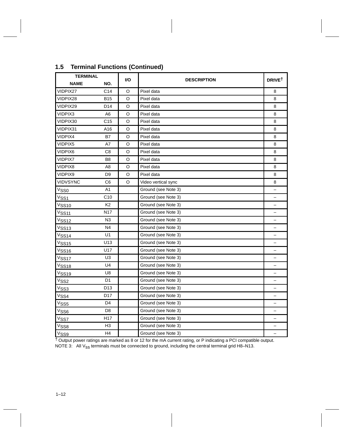| <b>TERMINAL</b>      |                 | <b>VO</b> |                     |                          |  |  |  |
|----------------------|-----------------|-----------|---------------------|--------------------------|--|--|--|
| <b>NAME</b>          | NO.             |           | <b>DESCRIPTION</b>  | <b>DRIVET</b>            |  |  |  |
| VIDPIX27             | C <sub>14</sub> | O         | Pixel data          | 8                        |  |  |  |
| VIDPIX28             | <b>B15</b>      | O         | Pixel data          | 8                        |  |  |  |
| VIDPIX29             | D <sub>14</sub> | O         | Pixel data          | 8                        |  |  |  |
| VIDPIX3              | A6              | O         | Pixel data          | 8                        |  |  |  |
| VIDPIX30             | C <sub>15</sub> | O         | Pixel data          | 8                        |  |  |  |
| VIDPIX31             | A16             | O         | Pixel data          | 8                        |  |  |  |
| VIDPIX4              | <b>B7</b>       | O         | Pixel data          | 8                        |  |  |  |
| VIDPIX5              | A7              | O         | Pixel data          | 8                        |  |  |  |
| VIDPIX6              | C <sub>8</sub>  | O         | Pixel data          | 8                        |  |  |  |
| <b>VIDPIX7</b>       | B <sub>8</sub>  | O         | Pixel data          | 8                        |  |  |  |
| VIDPIX8              | A8              | O         | Pixel data          | 8                        |  |  |  |
| VIDPIX9              | D <sub>9</sub>  | O         | Pixel data          | 8                        |  |  |  |
| <b>VIDVSYNC</b>      | C <sub>6</sub>  | O         | Video vertical sync | 8                        |  |  |  |
| V <sub>SS0</sub>     | A1              |           | Ground (see Note 3) | $\overline{\phantom{0}}$ |  |  |  |
| $V_{SS1}$            | C <sub>10</sub> |           | Ground (see Note 3) |                          |  |  |  |
| Vss10                | K <sub>2</sub>  |           | Ground (see Note 3) | -                        |  |  |  |
| V <sub>SS11</sub>    | <b>N17</b>      |           | Ground (see Note 3) | $\overline{\phantom{0}}$ |  |  |  |
| $V$ SS <sub>12</sub> | N3              |           | Ground (see Note 3) | $\overline{\phantom{0}}$ |  |  |  |
| $V$ SS13             | N <sub>4</sub>  |           | Ground (see Note 3) |                          |  |  |  |
| VSS14                | U1              |           | Ground (see Note 3) | $\overline{\phantom{0}}$ |  |  |  |
| V <sub>SS15</sub>    | U13             |           | Ground (see Note 3) | -                        |  |  |  |
| V <sub>SS16</sub>    | U17             |           | Ground (see Note 3) | -                        |  |  |  |
| <sup>V</sup> SS17    | U <sub>3</sub>  |           | Ground (see Note 3) | -                        |  |  |  |
| VSS18                | U4              |           | Ground (see Note 3) | -                        |  |  |  |
| VSS <sub>19</sub>    | U8              |           | Ground (see Note 3) | $\overline{\phantom{0}}$ |  |  |  |
| V <sub>SS2</sub>     | D <sub>1</sub>  |           | Ground (see Note 3) |                          |  |  |  |
| V <sub>S33</sub>     | D <sub>13</sub> |           | Ground (see Note 3) |                          |  |  |  |
| <sup>V</sup> SS4     | D <sub>17</sub> |           | Ground (see Note 3) | -                        |  |  |  |
| VSS5                 | D4              |           | Ground (see Note 3) | -                        |  |  |  |
| Vss6                 | D <sub>8</sub>  |           | Ground (see Note 3) | -                        |  |  |  |
| Vss7                 | H <sub>17</sub> |           | Ground (see Note 3) | -                        |  |  |  |
| V <sub>SS8</sub>     | H <sub>3</sub>  |           | Ground (see Note 3) |                          |  |  |  |
| V <sub>SS9</sub>     | H4              |           | Ground (see Note 3) |                          |  |  |  |

† Output power ratings are marked as 8 or 12 for the mA current rating, or P indicating a PCI compatible output. NOTE 3:  $\,$  All V $_{\rm SS}$  terminals must be connected to ground, including the central terminal grid H8–N13.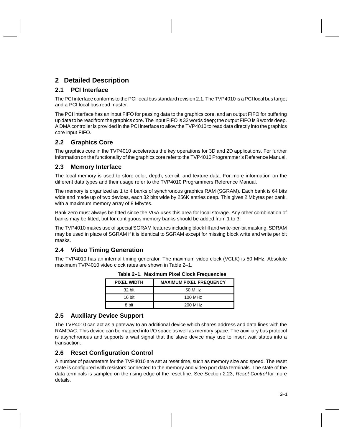# <span id="page-21-0"></span>**2 Detailed Description**

# **2.1 PCI Interface**

The PCI interface conforms to the PCI local bus standard revision 2.1. The TVP4010 is a PCI local bus target and a PCI local bus read master.

The PCI interface has an input FIFO for passing data to the graphics core, and an output FIFO for buffering up data to be read from the graphics core. The input FIFO is 32 words deep; the output FIFO is 8 words deep. A DMA controller is provided in the PCI interface to allow the TVP4010 to read data directly into the graphics core input FIFO.

# **2.2 Graphics Core**

The graphics core in the TVP4010 accelerates the key operations for 3D and 2D applications. For further information on the functionality of the graphics core refer to the TVP4010 Programmer's Reference Manual.

## **2.3 Memory Interface**

The local memory is used to store color, depth, stencil, and texture data. For more information on the different data types and their usage refer to the TVP4010 Programmers Reference Manual.

The memory is organized as 1 to 4 banks of synchronous graphics RAM (SGRAM). Each bank is 64 bits wide and made up of two devices, each 32 bits wide by 256K entries deep. This gives 2 Mbytes per bank, with a maximum memory array of 8 Mbytes.

Bank zero must always be fitted since the VGA uses this area for local storage. Any other combination of banks may be fitted, but for contiguous memory banks should be added from 1 to 3.

The TVP4010 makes use of special SGRAM features including block fill and write-per-bit masking. SDRAM may be used in place of SGRAM if it is identical to SGRAM except for missing block write and write per bit masks.

# **2.4 Video Timing Generation**

The TVP4010 has an internal timing generator. The maximum video clock (VCLK) is 50 MHz. Absolute maximum TVP4010 video clock rates are shown in Table 2–1.

| <b>PIXEL WIDTH</b> | <b>MAXIMUM PIXEL FREQUENCY</b> |
|--------------------|--------------------------------|
| 32 bit             | 50 MHz                         |
| 16 bit             | 100 MHz                        |
| 8 bit              | 200 MHz                        |

**Table 2–1. Maximum Pixel Clock Frequencies**

# **2.5 Auxiliary Device Support**

The TVP4010 can act as a gateway to an additional device which shares address and data lines with the RAMDAC. This device can be mapped into I/O space as well as memory space. The auxiliary bus protocol is asynchronous and supports a wait signal that the slave device may use to insert wait states into a transaction.

# **2.6 Reset Configuration Control**

A number of parameters for the TVP4010 are set at reset time, such as memory size and speed. The reset state is configured with resistors connected to the memory and video port data terminals. The state of the data terminals is sampled on the rising edge of the reset line. See Section 2.23, Reset Control for more details.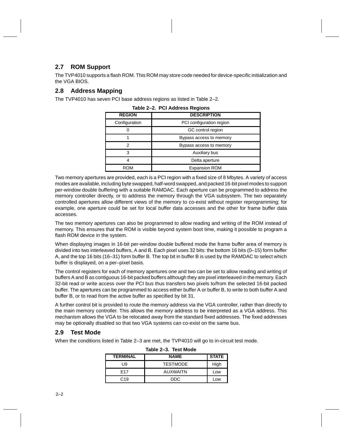# <span id="page-22-0"></span>**2.7 ROM Support**

The TVP4010 supports a flash ROM. This ROM may store code needed for device-specific initialization and the VGA BIOS.

## **2.8 Address Mapping**

The TVP4010 has seven PCI base address regions as listed in Table 2–2.

| <b>REGION</b> | <b>DESCRIPTION</b>       |
|---------------|--------------------------|
| Configuration | PCI configuration region |
|               | GC control region        |
|               | Bypass access to memory  |
| っ             | Bypass access to memory  |
|               | Auxiliary bus            |
|               | Delta aperture           |
| ROM           | <b>Expansion ROM</b>     |

#### **Table 2–2. PCI Address Regions**

Two memory apertures are provided, each is a PCI region with a fixed size of 8 Mbytes. A variety of access modes are available, including byte swapped, half-word swapped, and packed 16-bit pixel modes to support per-window double buffering with a suitable RAMDAC. Each aperture can be programmed to address the memory controller directly, or to address the memory through the VGA subsystem. The two separately controlled apertures allow different views of the memory to co-exist without register reprogramming; for example, one aperture could be set for local buffer data accesses and the other for frame buffer data accesses.

The two memory apertures can also be programmed to allow reading and writing of the ROM instead of memory. This ensures that the ROM is visible beyond system boot time, making it possible to program a flash ROM device in the system.

When displaying images in 16-bit per-window double buffered mode the frame buffer area of memory is divided into two interleaved buffers, A and B. Each pixel uses 32 bits: the bottom 16 bits (0–15) form buffer A, and the top 16 bits (16–31) form buffer B. The top bit in buffer B is used by the RAMDAC to select which buffer is displayed, on a per–pixel basis.

The control registers for each of memory apertures one and two can be set to allow reading and writing of buffers A and B as contiguous 16-bit packed buffers although they are pixel interleaved in the memory. Each 32-bit read or write access over the PCI bus thus transfers two pixels to/from the selected 16-bit packed buffer. The apertures can be programmed to access either buffer A or buffer B, to write to both buffer A and buffer B, or to read from the active buffer as specified by bit 31.

A further control bit is provided to route the memory address via the VGA controller, rather than directly to the main memory controller. This allows the memory address to be interpreted as a VGA address. This mechanism allows the VGA to be relocated away from the standard fixed addresses. The fixed addresses may be optionally disabled so that two VGA systems can co-exist on the same bus.

## **2.9 Test Mode**

When the conditions listed in Table 2–3 are met, the TVP4010 will go to in-circuit test mode.

| <b>TERMINAL</b> | <b>NAME</b>     | <b>STATE</b> |
|-----------------|-----------------|--------------|
| U9              | <b>TESTMODE</b> | High         |
| F <sub>17</sub> | <b>AUXWAITN</b> | Low          |
| C19             | DDC.            | _OW          |

**Table 2–3. Test Mode**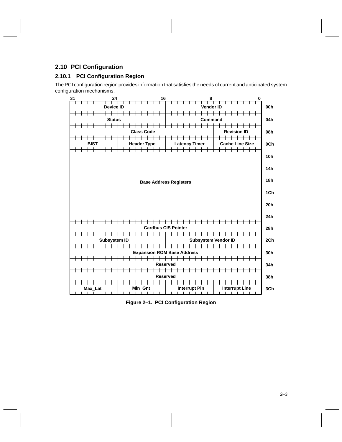# <span id="page-23-0"></span>**2.10 PCI Configuration**

## **2.10.1 PCI Configuration Region**

The PCI configuration region provides information that satisfies the needs of current and anticipated system configuration mechanisms.



**Figure 2–1. PCI Configuration Region**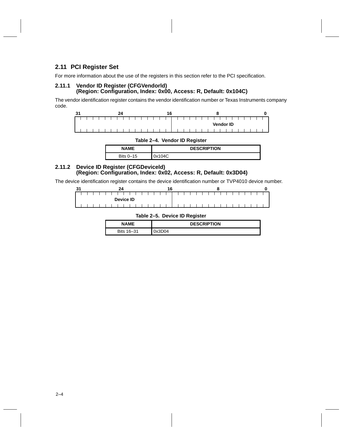# <span id="page-24-0"></span>**2.11 PCI Register Set**

For more information about the use of the registers in this section refer to the PCI specification.

#### **2.11.1 Vendor ID Register (CFGVendorld) (Region: Configuration, Index: 0x00, Access: R, Default: 0x104C)**

The vendor identification register contains the vendor identification number or Texas Instruments company code.



**Table 2–4. Vendor ID Register**

| <b>NAMF</b>  | <b>DESCRIPTION</b> |  |  |  |  |
|--------------|--------------------|--|--|--|--|
| 15<br>Rite ( | 0x104C             |  |  |  |  |

#### **2.11.2 Device ID Register (CFGDeviceld) (Region: Configuration, Index: 0x02, Access: R, Default: 0x3D04)**

The device identification register contains the device identification number or TVP4010 device number.

| 31 |  |  |  |           |  |  |  |  |  |  |  |  |  |  |  |
|----|--|--|--|-----------|--|--|--|--|--|--|--|--|--|--|--|
|    |  |  |  |           |  |  |  |  |  |  |  |  |  |  |  |
|    |  |  |  | Device ID |  |  |  |  |  |  |  |  |  |  |  |
|    |  |  |  |           |  |  |  |  |  |  |  |  |  |  |  |

#### **Table 2–5. Device ID Register**

| <b>NAMF</b> | <b>DESCRIPTION</b> |  |  |  |  |  |
|-------------|--------------------|--|--|--|--|--|
| Bits 16-31  | 0x3D04             |  |  |  |  |  |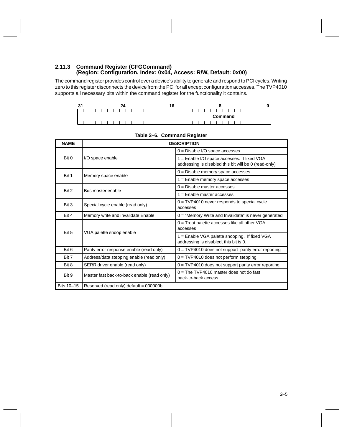#### <span id="page-25-0"></span>**2.11.3 Command Register (CFGCommand) (Region: Configuration, Index: 0x04, Access: R/W, Default: 0x00)**

The command register provides control over a device's ability to generate and respond to PCI cycles. Writing zero to this register disconnects the device from the PCI for all except configuration accesses. The TVP4010 supports all necessary bits within the command register for the functionality it contains.



| <b>NAME</b> |                                             | <b>DESCRIPTION</b>                                                                                   |  |  |  |  |  |
|-------------|---------------------------------------------|------------------------------------------------------------------------------------------------------|--|--|--|--|--|
|             |                                             | $0 =$ Disable I/O space accesses                                                                     |  |  |  |  |  |
| Bit 0       | I/O space enable                            | 1 = Enable I/O space accesses. If fixed VGA<br>addressing is disabled this bit will be 0 (read-only) |  |  |  |  |  |
| Bit 1       | Memory space enable                         | $0 =$ Disable memory space accesses                                                                  |  |  |  |  |  |
|             |                                             | $1 =$ Enable memory space accesses                                                                   |  |  |  |  |  |
| Bit 2       | Bus master enable                           | $0 =$ Disable master accesses                                                                        |  |  |  |  |  |
|             |                                             | $1 =$ Enable master accesses                                                                         |  |  |  |  |  |
| Bit 3       | Special cycle enable (read only)            | $0 = TVP4010$ never responds to special cycle<br>accesses                                            |  |  |  |  |  |
| Bit 4       | Memory write and invalidate Enable          | 0 = "Memory Write and Invalidate" is never generated                                                 |  |  |  |  |  |
| Bit 5       |                                             | $0 =$ Treat palette accesses like all other VGA<br>accesses                                          |  |  |  |  |  |
|             | VGA palette snoop enable                    | 1 = Enable VGA palette snooping. If fixed VGA<br>addressing is disabled, this bit is 0.              |  |  |  |  |  |
| Bit 6       | Parity error response enable (read only)    | $0 = TVP4010$ does not support parity error reporting                                                |  |  |  |  |  |
| Bit 7       | Address/data stepping enable (read only)    | $0 = TVP4010$ does not perform stepping                                                              |  |  |  |  |  |
| Bit 8       | SERR driver enable (read only)              | $0 = TVP4010$ does not support parity error reporting                                                |  |  |  |  |  |
| Bit 9       | Master fast back-to-back enable (read only) | $0 =$ The TVP4010 master does not do fast<br>back-to-back access                                     |  |  |  |  |  |
| Bits 10-15  | Reserved (read only) default = 000000b      |                                                                                                      |  |  |  |  |  |

**Table 2–6. Command Register**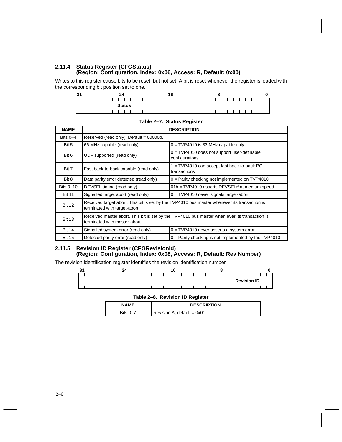## <span id="page-26-0"></span>**2.11.4 Status Register (CFGStatus) (Region: Configuration, Index: 0x06, Access: R, Default: 0x00)**

Writes to this register cause bits to be reset, but not set. A bit is reset whenever the register is loaded with the corresponding bit position set to one.



| <b>NAME</b>      |                                                                                                                                | <b>DESCRIPTION</b>                                                                           |  |  |  |  |  |  |  |
|------------------|--------------------------------------------------------------------------------------------------------------------------------|----------------------------------------------------------------------------------------------|--|--|--|--|--|--|--|
| Bits $0-4$       | Reserved (read only). Default = 00000b.                                                                                        |                                                                                              |  |  |  |  |  |  |  |
| Bit 5            | 66 MHz capable (read only)                                                                                                     | $0 = TVP4010$ is 33 MHz capable only                                                         |  |  |  |  |  |  |  |
| Bit 6            | UDF supported (read only)                                                                                                      | $0 = TVP4010$ does not support user-definable<br>configurations                              |  |  |  |  |  |  |  |
| Bit 7            | Fast back-to-back capable (read only)                                                                                          | 1 = TVP4010 can accept fast back-to-back PCI<br>transactions                                 |  |  |  |  |  |  |  |
| Bit 8            | Data parity error detected (read only)                                                                                         | $0 =$ Parity checking not implemented on TVP4010                                             |  |  |  |  |  |  |  |
| <b>Bits 9-10</b> | DEVSEL timing (read only)                                                                                                      | 01b = TVP4010 asserts DEVSEL# at medium speed                                                |  |  |  |  |  |  |  |
| <b>Bit 11</b>    | Signalled target abort (read only)                                                                                             | $0 = TVP4010$ never signals target-abort                                                     |  |  |  |  |  |  |  |
| <b>Bit 12</b>    | terminated with target-abort.                                                                                                  | Received target abort. This bit is set by the TVP4010 bus master whenever its transaction is |  |  |  |  |  |  |  |
| <b>Bit 13</b>    | Received master abort. This bit is set by the TVP4010 bus master when ever its transaction is<br>terminated with master-abort. |                                                                                              |  |  |  |  |  |  |  |
| <b>Bit 14</b>    | Signalled system error (read only)                                                                                             | $0 = TVP4010$ never asserts a system error                                                   |  |  |  |  |  |  |  |
| <b>Bit 15</b>    | Detected parity error (read only)                                                                                              | $0 =$ Parity checking is not implemented by the TVP4010                                      |  |  |  |  |  |  |  |

|  |  |  | Table 2-7. Status Register |
|--|--|--|----------------------------|
|--|--|--|----------------------------|

#### **2.11.5 Revision ID Register (CFGRevisionld) (Region: Configuration, Index: 0x08, Access: R, Default: Rev Number)**

The revision identification register identifies the revision identification number.



#### **Table 2–8. Revision ID Register**

| NAMF | <b>DESCRIPTION</b>           |  |  |  |  |
|------|------------------------------|--|--|--|--|
|      | Revision A, default = $0x01$ |  |  |  |  |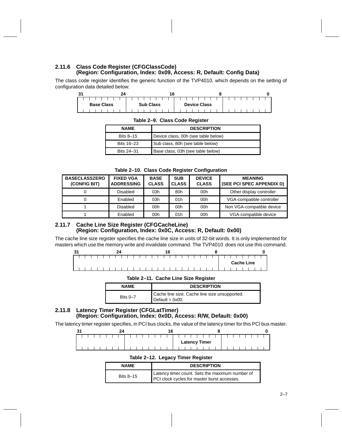## <span id="page-27-0"></span>**2.11.6 Class Code Register (CFGClassCode) (Region: Configuration, Index: 0x09, Access: R, Default: Config Data)**

The class code register identifies the generic function of the TVP4010, which depends on the setting of configuration data detailed below.

| ີ | 24                | ıc               |                     |  |  | Ω |
|---|-------------------|------------------|---------------------|--|--|---|
|   |                   |                  |                     |  |  |   |
|   | <b>Base Class</b> | <b>Sub Class</b> | <b>Device Class</b> |  |  |   |
|   |                   |                  |                     |  |  |   |

|                  | .                                   |
|------------------|-------------------------------------|
| <b>NAME</b>      | <b>DESCRIPTION</b>                  |
| <b>Bits 8-15</b> | Device class, 00h (see table below) |
| Bits 16-23       | Sub class, 80h (see table below)    |
| Bits 24-31       | Base class, 03h (see table below)   |

#### **Table 2–9. Class Code Register**

**Table 2–10. Class Code Register Configuration**

| <b>BASECLASSZERO</b><br>(CONFIG BIT) | <b>FIXED VGA</b><br><b>ADDRESSING</b> | <b>BASE</b><br><b>CLASS</b> | <b>SUB</b><br><b>CLASS</b> | <b>DEVICE</b><br><b>CLASS</b> | <b>MEANING</b><br>(SEE PCI SPEC APPENDIX D) |
|--------------------------------------|---------------------------------------|-----------------------------|----------------------------|-------------------------------|---------------------------------------------|
|                                      | Disabled                              | 03h                         | 80h                        | 00h                           | Other display controller                    |
|                                      | Enabled                               | 03h                         | 01h                        | 00h                           | VGA-compatible controller                   |
|                                      | Disabled                              | 00h                         | 00h                        | 00h                           | Non VGA-compatible device                   |
|                                      | Enabled                               | 00h                         | 01h                        | 00h                           | VGA-compatible device                       |

## **2.11.7 Cache Line Size Register (CFGCacheLine) (Region: Configuration, Index: 0x0C, Access: R, Default: 0x00)**

The cache line size register specifies the cache line size in units of 32-bit words. It is only implemented for masters which use the memory write and invalidate command. The TVP4010 does not use this command.



#### **Table 2–11. Cache Line Size Register**

| <b>NAME</b>  | <b>DESCRIPTION</b>                                                  |
|--------------|---------------------------------------------------------------------|
| Bits $0 - 7$ | Cache line size. Cache line size unsupported.<br>Default = $0x00$ . |

## **2.11.8 Latency Timer Register (CFGLatTimer) (Region: Configuration, Index: 0x0D, Access: R/W, Default: 0x00)**

The latency timer register specifies, in PCI bus clocks, the value of the latency timer for this PCI bus master.

| 31 |  |  |  | 24 |  |  |  | 16 |                      |  |  |  |  |  |  |  |
|----|--|--|--|----|--|--|--|----|----------------------|--|--|--|--|--|--|--|
|    |  |  |  |    |  |  |  |    |                      |  |  |  |  |  |  |  |
|    |  |  |  |    |  |  |  |    | <b>Latency Timer</b> |  |  |  |  |  |  |  |
|    |  |  |  |    |  |  |  |    |                      |  |  |  |  |  |  |  |

#### **Table 2–12. Legacy Timer Register**

| <b>NAME</b> | <b>DESCRIPTION</b>                                                                             |
|-------------|------------------------------------------------------------------------------------------------|
| Bits 8-15   | Latency timer count. Sets the maximum number of<br>PCI clock cycles for master burst accesses. |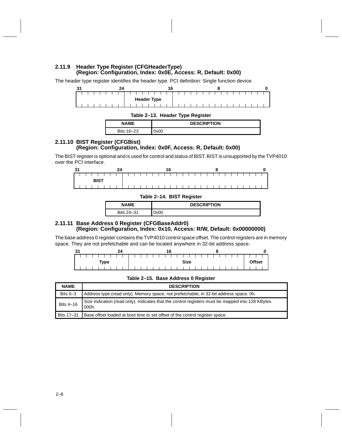#### <span id="page-28-0"></span>**2.11.9 Header Type Register (CFGHeaderType) (Region: Configuration, Index: 0x0E, Access: R, Default: 0x00)**

The header type register identifies the header type. PCI definition: Single function device.

| <b>Header Type</b> | -- |  |  |
|--------------------|----|--|--|
|                    |    |  |  |
|                    |    |  |  |

#### **Table 2–13. Header Type Register**

| <b>NAMF</b> | <b>DESCRIPTION</b> |
|-------------|--------------------|
| Bits 16-23  | 0x0C               |

#### **2.11.10 BIST Register (CFGBist) (Region: Configuration, Index: 0x0F, Access: R, Default: 0x00)**

The BIST register is optional and is used for control and status of BIST. BIST is unsupported by the TVP4010 over the PCI interface.

| .           |  |  |  |  |  |  |  |  |  |  |  |
|-------------|--|--|--|--|--|--|--|--|--|--|--|
| <b>BIST</b> |  |  |  |  |  |  |  |  |  |  |  |
|             |  |  |  |  |  |  |  |  |  |  |  |

#### **Table 2–14. BIST Register**

| <b>NAME</b> | <b>DESCRIPTION</b> |
|-------------|--------------------|
| Bits 24-31  | 0x00               |

#### **2.11.11 Base Address 0 Register (CFGBaseAddr0) (Region: Configuration, Index: 0x10, Access: R/W, Default: 0x00000000)**

The base address 0 register contains the TVP4010 control space offset. The control registers are in memory space. They are not prefetchable and can be located anywhere in 32-bit address space.

| 31 |  |  |      |  | 24 |  |  |  | $\sim$<br>10 |  |             |  |  |  |  |  |               |  |
|----|--|--|------|--|----|--|--|--|--------------|--|-------------|--|--|--|--|--|---------------|--|
|    |  |  |      |  |    |  |  |  |              |  |             |  |  |  |  |  |               |  |
|    |  |  | Type |  |    |  |  |  |              |  | <b>Size</b> |  |  |  |  |  | <b>Offset</b> |  |
|    |  |  |      |  |    |  |  |  |              |  |             |  |  |  |  |  |               |  |

| Table 2-15. Base Address 0 Register |  |  |  |
|-------------------------------------|--|--|--|
|-------------------------------------|--|--|--|

| <b>NAME</b>      | <b>DESCRIPTION</b>                                                                                         |
|------------------|------------------------------------------------------------------------------------------------------------|
| Bits $0 - 3$     | Address type (read only). Memory space, not prefetchable, in 32-bit address space. Oh.                     |
| <b>Bits 4-16</b> | Size indication (read only). Indicates that the control registers must be mapped into 128 KBytes.<br>000h. |
|                  | Bits 17–31 Base offset loaded at boot time to set offset of the control register space.                    |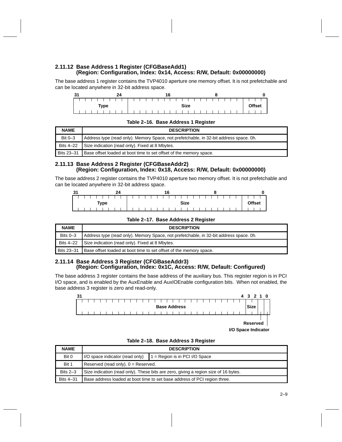#### <span id="page-29-0"></span>**2.11.12 Base Address 1 Register (CFGBaseAdd1) (Region: Configuration, Index: 0x14, Access: R/W, Default: 0x00000000)**

The base address 1 register contains the TVP4010 aperture one memory offset. It is not prefetchable and can be located anywhere in 32-bit address space.



#### **Table 2–16. Base Address 1 Register**

| <b>NAME</b> | <b>DESCRIPTION</b>                                                                     |  |  |  |  |  |  |  |  |  |  |
|-------------|----------------------------------------------------------------------------------------|--|--|--|--|--|--|--|--|--|--|
| Bit 0-3     | Address type (read only). Memory Space, not prefetchable, in 32-bit address space. Oh. |  |  |  |  |  |  |  |  |  |  |
| Bits 4–22   | Size indication (read only). Fixed at 8 Mbytes.                                        |  |  |  |  |  |  |  |  |  |  |
| Bits 23-31  | Base offset loaded at boot time to set offset of the memory space.                     |  |  |  |  |  |  |  |  |  |  |

#### **2.11.13 Base Address 2 Register (CFGBaseAddr2) (Region: Configuration, Index: 0x18, Access: R/W, Default: 0x00000000)**

The base address 2 register contains the TVP4010 aperture two memory offset. It is not prefetchable and can be located anywhere in 32-bit address space.

| 31 |      | 24 |  |  | 16 |  |             |  |  |  |  |               |  |  |
|----|------|----|--|--|----|--|-------------|--|--|--|--|---------------|--|--|
|    |      |    |  |  |    |  |             |  |  |  |  |               |  |  |
|    |      |    |  |  |    |  |             |  |  |  |  |               |  |  |
|    | Type |    |  |  |    |  | <b>Size</b> |  |  |  |  | <b>Offset</b> |  |  |

#### **Table 2–17. Base Address 2 Register**

| <b>NAME</b>  | <b>DESCRIPTION</b>                                                                     |  |  |  |  |  |  |  |  |  |
|--------------|----------------------------------------------------------------------------------------|--|--|--|--|--|--|--|--|--|
| Bits $0 - 3$ | Address type (read only). Memory Space, not prefetchable, in 32-bit address space. Oh. |  |  |  |  |  |  |  |  |  |
|              | Bits 4-22   Size indication (read only). Fixed at 8 Mbytes.                            |  |  |  |  |  |  |  |  |  |
|              | Bits 23–31 Base offset loaded at boot time to set offset of the memory space.          |  |  |  |  |  |  |  |  |  |

#### **2.11.14 Base Address 3 Register (CFGBaseAddr3) (Region: Configuration, Index: 0x1C, Access: R/W, Default: Configured)**

The base address 3 register contains the base address of the auxiliary bus. This register region is in PCI I/O space, and is enabled by the AuxEnable and AuxIOEnable configuration bits. When not enabled, the base address 3 register is zero and read-only.



| <b>NAME</b> |                                                                                     | <b>DESCRIPTION</b>             |  |  |  |  |  |  |  |
|-------------|-------------------------------------------------------------------------------------|--------------------------------|--|--|--|--|--|--|--|
| Bit 0       | I/O space indicator (read only)                                                     | 1 = Region is in PCI I/O Space |  |  |  |  |  |  |  |
| Bit 1       | Reserved (read only). $0 =$ Reserved.                                               |                                |  |  |  |  |  |  |  |
| Bits $2-3$  | Size indication (read only). These bits are zero, giving a region size of 16 bytes. |                                |  |  |  |  |  |  |  |
| Bits 4-31   | Base address loaded at boot time to set base address of PCI region three.           |                                |  |  |  |  |  |  |  |

**Table 2–18. Base Address 3 Register**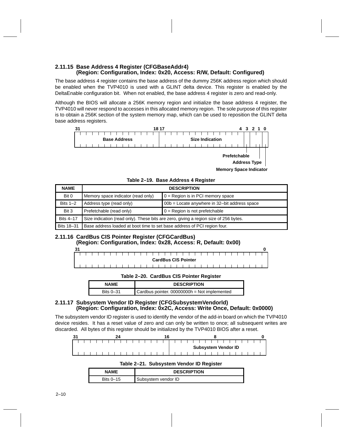#### <span id="page-30-0"></span>**2.11.15 Base Address 4 Register (CFGBaseAddr4) (Region: Configuration, Index: 0x20, Access: R/W, Default: Configured)**

The base address 4 register contains the base address of the dummy 256K address region which should be enabled when the TVP4010 is used with a GLINT delta device. This register is enabled by the DeltaEnable configuration bit. When not enabled, the base address 4 register is zero and read-only.

Although the BIOS will allocate a 256K memory region and initialize the base address 4 register, the TVP4010 will never respond to accesses in this allocated memory region. The sole purpose of this register is to obtain a 256K section of the system memory map, which can be used to reposition the GLINT delta base address registers.



| <b>NAME</b>      |                                                                          | <b>DESCRIPTION</b>                                                                   |
|------------------|--------------------------------------------------------------------------|--------------------------------------------------------------------------------------|
| Bit 0            | Memory space indicator (read only)                                       | $0 =$ Region is in PCI memory space                                                  |
| Bits $1-2$       | Address type (read only)                                                 | $00b$ = Locate anywhere in 32-bit address space                                      |
| Bit 3            | Prefetchable (read only)                                                 | $0 =$ Region is not prefetchable                                                     |
| <b>Bits 4-17</b> |                                                                          | Size indication (read only). These bits are zero, giving a region size of 256 bytes. |
| Bits 18-31       | Base address loaded at boot time to set base address of PCI region four. |                                                                                      |

#### **Table 2–19. Base Address 4 Register**

#### **2.11.16 CardBus CIS Pointer Register (CFGCardBus) (Region: Configuration, Index: 0x28, Access: R, Default: 0x00)**

| 31 |  |  |  |  |  |  |  |  |                            |  |  |  |  |  |  |  |
|----|--|--|--|--|--|--|--|--|----------------------------|--|--|--|--|--|--|--|
|    |  |  |  |  |  |  |  |  |                            |  |  |  |  |  |  |  |
|    |  |  |  |  |  |  |  |  | <b>CardBus CIS Pointer</b> |  |  |  |  |  |  |  |
|    |  |  |  |  |  |  |  |  |                            |  |  |  |  |  |  |  |

## **Table 2–20. CardBus CIS Pointer Register**

| <b>NAMF</b> | <b>DESCRIPTION</b>                           |
|-------------|----------------------------------------------|
| Bits 0–31   | Cardbus pointer. 00000000h = Not implemented |
|             |                                              |

## **2.11.17 Subsystem Vendor ID Register (CFGSubsystemVendorld) (Region: Configuration, Index: 0x2C, Access: Write Once, Default: 0x0000)**

The subsystem vendor ID register is used to identify the vendor of the add-in board on which the TVP4010 device resides. It has a reset value of zero and can only be written to once; all subsequent writes are discarded. All bytes of this register should be initialized by the TVP4010 BIOS after a reset.

| ٠. |  |  |  |  | 24 |  |  |  |  |  |  |  |  |  |  |                            |  |  |  |
|----|--|--|--|--|----|--|--|--|--|--|--|--|--|--|--|----------------------------|--|--|--|
|    |  |  |  |  |    |  |  |  |  |  |  |  |  |  |  |                            |  |  |  |
|    |  |  |  |  |    |  |  |  |  |  |  |  |  |  |  | <b>Subsystem Vendor ID</b> |  |  |  |
|    |  |  |  |  |    |  |  |  |  |  |  |  |  |  |  |                            |  |  |  |

## **Table 2–21. Subsystem Vendor ID Register**

| NAMF      | <b>DESCRIPTION</b>    |
|-----------|-----------------------|
| Bits 0-15 | I Subsystem vendor ID |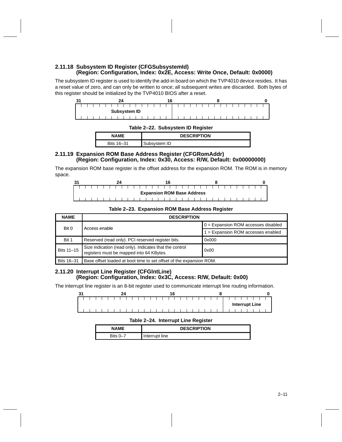#### <span id="page-31-0"></span>**2.11.18 Subsystem ID Register (CFGSubsystemId) (Region: Configuration, Index: 0x2E, Access: Write Once, Default: 0x0000)**

The subsystem ID register is used to identify the add-in board on which the TVP4010 device resides. It has a reset value of zero, and can only be written to once; all subsequent writes are discarded. Both bytes of this register should be initialized by the TVP4010 BIOS after a reset.

| Subsystem ID |  |  |
|--------------|--|--|
|              |  |  |

#### **Table 2–22. Subsystem ID Register**

| <b>NAMF</b>       | <b>DESCRIPTION</b> |
|-------------------|--------------------|
| <b>Bits 16-31</b> | Subsystem ID       |

#### **2.11.19 Expansion ROM Base Address Register (CFGRomAddr) (Region: Configuration, Index: 0x30, Access: R/W, Default: 0x00000000)**

The expansion ROM base register is the offset address for the expansion ROM. The ROM is in memory space.

|                                   |  |  |  |  |  |  |  | 24 |  |  |  |  |  |  |  |  |  |  |  |  |  |
|-----------------------------------|--|--|--|--|--|--|--|----|--|--|--|--|--|--|--|--|--|--|--|--|--|
|                                   |  |  |  |  |  |  |  |    |  |  |  |  |  |  |  |  |  |  |  |  |  |
| <b>Expansion ROM Base Address</b> |  |  |  |  |  |  |  |    |  |  |  |  |  |  |  |  |  |  |  |  |  |
|                                   |  |  |  |  |  |  |  |    |  |  |  |  |  |  |  |  |  |  |  |  |  |

#### **Table 2–23. Expansion ROM Base Address Register**

| <b>NAME</b> | <b>DESCRIPTION</b>                                                                                  |                                       |  |  |  |  |  |
|-------------|-----------------------------------------------------------------------------------------------------|---------------------------------------|--|--|--|--|--|
| Bit 0       | Access enable                                                                                       | $0 =$ Expansion ROM accesses disabled |  |  |  |  |  |
|             |                                                                                                     | $1 =$ Expansion ROM accesses enabled  |  |  |  |  |  |
| Bit 1       | Reserved (read only). PCI reserved register bits.                                                   | 0x000                                 |  |  |  |  |  |
| Bits 11-15  | Size indication (read only). Indicates that the control<br>registers must be mapped into 64 KBytes. | 0x00                                  |  |  |  |  |  |
| Bits 16-31  | Base offset loaded at boot time to set offset of the expansion ROM.                                 |                                       |  |  |  |  |  |

#### **2.11.20 Interrupt Line Register (CFGlntLine) (Region: Configuration, Index: 0x3C, Access: R/W, Default: 0x00)**

The interrupt line register is an 8-bit register used to communicate interrupt line routing information.

| 31 |  |  |  |  |  |  |  |  |  |  |  |  |  |  |  |                       |  |
|----|--|--|--|--|--|--|--|--|--|--|--|--|--|--|--|-----------------------|--|
|    |  |  |  |  |  |  |  |  |  |  |  |  |  |  |  | <b>Interrupt Line</b> |  |
|    |  |  |  |  |  |  |  |  |  |  |  |  |  |  |  |                       |  |

#### **Table 2–24. Interrupt Line Register**

| <b>NAME</b> | <b>DESCRIPTION</b> |
|-------------|--------------------|
| Bits $0-$   | Interrupt line     |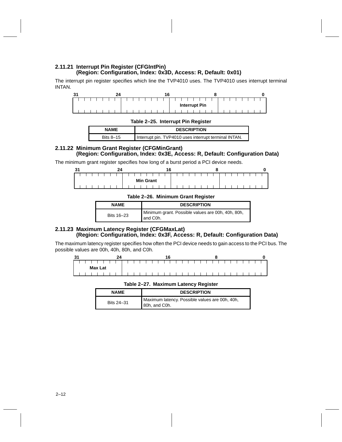#### <span id="page-32-0"></span>**2.11.21 Interrupt Pin Register (CFGIntPin) (Region: Configuration, Index: 0x3D, Access: R, Default: 0x01)**

The interrupt pin register specifies which line the TVP4010 uses. The TVP4010 uses interrupt terminal INTAN.



#### **Table 2–25. Interrupt Pin Register**

| <b>NAMF</b> | <b>DESCRIPTION</b>                                    |
|-------------|-------------------------------------------------------|
| Bits 8–15   | Interrupt pin. TVP4010 uses interrupt terminal INTAN. |

#### **2.11.22 Minimum Grant Register (CFGMinGrant) (Region: Configuration, Index: 0x3E, Access: R, Default: Configuration Data)**

The minimum grant register specifies how long of a burst period a PCI device needs.

| -4 |  |  | 24 |  |  |                  | 16 |  |  |  |  |  |  |  |  |
|----|--|--|----|--|--|------------------|----|--|--|--|--|--|--|--|--|
|    |  |  |    |  |  |                  |    |  |  |  |  |  |  |  |  |
|    |  |  |    |  |  | <b>Min Grant</b> |    |  |  |  |  |  |  |  |  |
|    |  |  |    |  |  |                  |    |  |  |  |  |  |  |  |  |

#### **Table 2–26. Minimum Grant Register**

| <b>NAME</b> | <b>DESCRIPTION</b>                                              |
|-------------|-----------------------------------------------------------------|
| Bits 16-23  | Minimum grant. Possible values are 00h, 40h, 80h,<br>I and C0h. |

#### **2.11.23 Maximum Latency Register (CFGMaxLat) (Region: Configuration, Index: 0x3F, Access: R, Default: Configuration Data)**

The maximum latency register specifies how often the PCI device needs to gain access to the PCI bus. The possible values are 00h, 40h, 80h, and C0h.



#### **Table 2–27. Maximum Latency Register**

| <b>NAME</b> | <b>DESCRIPTION</b>                                              |
|-------------|-----------------------------------------------------------------|
| Bits 24-31  | Maximum latency. Possible values are 00h, 40h,<br>80h, and C0h. |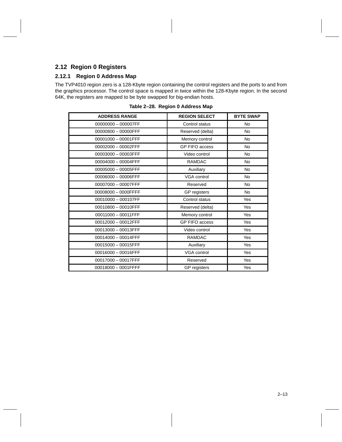## <span id="page-33-0"></span>**2.12 Region 0 Registers**

## **2.12.1 Region 0 Address Map**

The TVP4010 region zero is a 128-Kbyte region containing the control registers and the ports to and from the graphics processor. The control space is mapped in twice within the 128-Kbyte region. In the second 64K, the registers are mapped to be byte swapped for big-endian hosts.

| <b>ADDRESS RANGE</b> | <b>REGION SELECT</b>  | <b>BYTE SWAP</b> |
|----------------------|-----------------------|------------------|
| 00000000 - 000007FF  | Control status        | No               |
| 00000800 - 00000FFF  | Reserved (delta)      | <b>No</b>        |
| 00001000 - 00001FFF  | Memory control        | <b>No</b>        |
| 00002000 - 00002FFF  | <b>GP FIFO access</b> | <b>No</b>        |
| 00003000 - 00003FFF  | Video control         | <b>No</b>        |
| 00004000 - 00004FFF  | <b>RAMDAC</b>         | <b>No</b>        |
| 00005000 - 00005FFF  | Auxiliary             | No               |
| 00006000 - 00006FFF  | VGA control           | <b>No</b>        |
| 00007000 - 00007FFF  | Reserved              | <b>No</b>        |
| 00008000 - 0000FFFF  | GP registers          | <b>No</b>        |
| 00010000 - 000107FF  | Control status        | Yes              |
| 00010800 - 00010FFF  | Reserved (delta)      | Yes              |
| 00011000 - 00011FFF  | Memory control        | Yes              |
| 00012000 - 00012FFF  | <b>GP FIFO access</b> | Yes              |
| 00013000 - 00013FFF  | Video control         | Yes              |
| 00014000 - 00014FFF  | <b>RAMDAC</b>         | Yes              |
| 00015000 - 00015FFF  | Auxiliary             | Yes              |
| 00016000 - 00016FFF  | VGA control           | Yes              |
| 00017000 - 00017FFF  | Reserved              | Yes              |
| 00018000 - 0001FFFF  | GP registers          | Yes              |

**Table 2–28. Region 0 Address Map**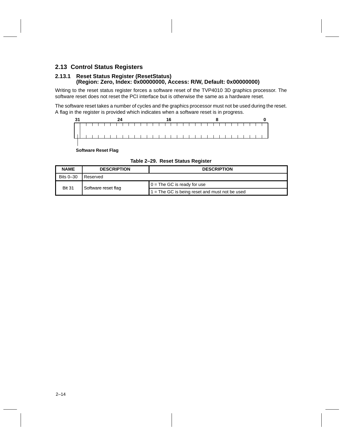# <span id="page-34-0"></span>**2.13 Control Status Registers**

## **2.13.1 Reset Status Register (ResetStatus) (Region: Zero, Index: 0x00000000, Access: R/W, Default: 0x00000000)**

Writing to the reset status register forces a software reset of the TVP4010 3D graphics processor. The software reset does not reset the PCI interface but is otherwise the same as a hardware reset.

The software reset takes a number of cycles and the graphics processor must not be used during the reset. A flag in the register is provided which indicates when a software reset is in progress.



**Software Reset Flag**

| <b>NAME</b>   | <b>DESCRIPTION</b>  | <b>DESCRIPTION</b>                               |
|---------------|---------------------|--------------------------------------------------|
| Bits 0-30     | Reserved            |                                                  |
| <b>Bit 31</b> | Software reset flag | $0 =$ The GC is ready for use                    |
|               |                     | $1 =$ The GC is being reset and must not be used |

#### **Table 2–29. Reset Status Register**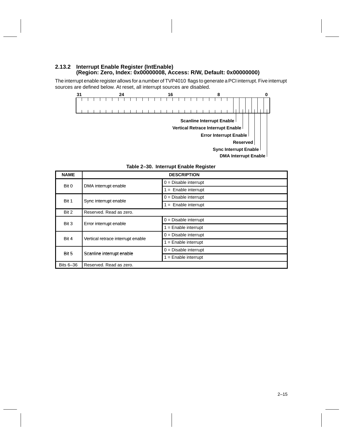#### <span id="page-35-0"></span>**2.13.2 Interrupt Enable Register (IntEnable) (Region: Zero, Index: 0x00000008, Access: R/W, Default: 0x00000000)**

The interrupt enable register allows for a number of TVP4010 flags to generate a PCI interrupt. Five interrupt sources are defined below. At reset, all interrupt sources are disabled.



| <b>NAME</b> |                                   | <b>DESCRIPTION</b>      |  |  |  |  |  |
|-------------|-----------------------------------|-------------------------|--|--|--|--|--|
| Bit 0       | DMA interrupt enable              | $0 = Disable$ interrupt |  |  |  |  |  |
|             |                                   | $=$ Enable interrupt    |  |  |  |  |  |
| Bit 1       | Sync interrupt enable             | $0 = Disable$ interrupt |  |  |  |  |  |
|             |                                   | Enable interrupt<br>$=$ |  |  |  |  |  |
| Bit 2       | Reserved. Read as zero.           |                         |  |  |  |  |  |
| Bit 3       | Error interrupt enable            | $0 = Disable$ interrupt |  |  |  |  |  |
|             |                                   | $=$ Enable interrupt    |  |  |  |  |  |
| Bit 4       | Vertical retrace interrupt enable | $0 = Disable$ interrupt |  |  |  |  |  |
|             |                                   | $=$ Enable interrupt    |  |  |  |  |  |
| Bit 5       | Scanline interrupt enable         | $0 = Disable$ interrupt |  |  |  |  |  |
|             |                                   | $=$ Enable interrupt    |  |  |  |  |  |
| Bits 6-36   | Reserved. Read as zero.           |                         |  |  |  |  |  |

#### **Table 2–30. Interrupt Enable Register**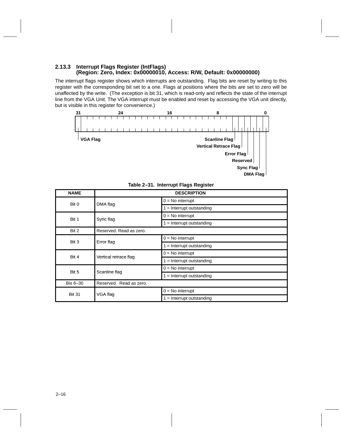### **2.13.3 Interrupt Flags Register (IntFlags) (Region: Zero, Index: 0x00000010, Access: R/W, Default: 0x00000000)**

The interrupt flags register shows which interrupts are outstanding. Flag bits are reset by writing to this register with the corresponding bit set to a one. Flags at positions where the bits are set to zero will be unaffected by the write. (The exception is bit 31, which is read-only and reflects the state of the interrupt line from the VGA Unit. The VGA interrupt must be enabled and reset by accessing the VGA unit directly, but is visible in this register for convenience.)



| <b>NAME</b>   | <b>DESCRIPTION</b>      |                             |  |  |  |
|---------------|-------------------------|-----------------------------|--|--|--|
| Bit 0         |                         | $0 = No$ interrupt          |  |  |  |
|               | DMA flag                | $1 =$ Interrupt outstanding |  |  |  |
| Bit 1         |                         | $0 = No$ interrupt          |  |  |  |
|               | Sync flag               | $1 =$ Interrupt outstanding |  |  |  |
| Bit 2         | Reserved. Read as zero. |                             |  |  |  |
|               | Error flag              | $0 = No$ interrupt          |  |  |  |
| Bit 3         |                         | $1 =$ Interrupt outstanding |  |  |  |
| Bit 4         | Vertical retrace flag   | $0 = No$ interrupt          |  |  |  |
|               |                         | $=$ Interrupt outstanding   |  |  |  |
| Bit 5         | Scanline flag           | $0 = No$ interrupt          |  |  |  |
|               |                         | $=$ Interrupt outstanding   |  |  |  |
| Bis 6-30      | Reserved. Read as zero. |                             |  |  |  |
|               |                         | $0 = No$ interrupt          |  |  |  |
| <b>Bit 31</b> | VGA flag                | $=$ Interrupt outstanding   |  |  |  |

### **Table 2–31. Interrupt Flags Register**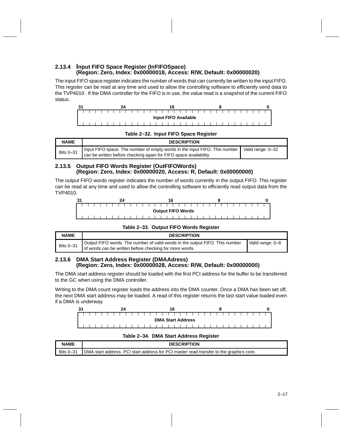### **2.13.4 Input FIFO Space Register (InFIFOSpace) (Region: Zero, Index: 0x00000018, Access: R/W, Default: 0x00000020)**

The input FIFO space register indicates the number of words that can currently be written to the input FIFO. This register can be read at any time and used to allow the controlling software to efficiently send data to the TVP4010 . If the DMA controller for the FIFO is in use, the value read is a snapshot of the current FIFO status.



#### **Table 2–32. Input FIFO Space Register**

| <b>NAME</b> | <b>DESCRIPTION</b>                                                                                                                                |                   |
|-------------|---------------------------------------------------------------------------------------------------------------------------------------------------|-------------------|
| Bits 0-31   | I Input FIFO space. The number of empty words in the input FIFO. This number<br>can be written before checking again for FIFO space availability. | Valid range: 0–32 |

### **2.13.5 Output FIFO Words Register (OutFIFOWords) (Region: Zero, Index: 0x00000020, Access: R, Default: 0x00000000)**

The output FIFO words register indicates the number of words currently in the output FIFO. This register can be read at any time and used to allow the controlling software to efficiently read output data from the TVP4010.



### **Table 2–33. Output FIFO Words Register**

| <b>NAME</b> | <b>DESCRIPTION</b>                                                           |                  |
|-------------|------------------------------------------------------------------------------|------------------|
| Bits 0-31   | Output FIFO words. The number of valid words in the output FIFO. This number | Valid range: 0-8 |
|             | of words can be written before checking for more words.                      |                  |

### **2.13.6 DMA Start Address Register (DMAAdress) (Region: Zero, Index: 0x00000028, Access: R/W, Default: 0x00000000)**

The DMA start address register should be loaded with the first PCI address for the buffer to be transferred to the GC when using the DMA controller.

Writing to the DMA count register loads the address into the DMA counter. Once a DMA has been set off, the next DMA start address may be loaded. A read of this register returns the last start value loaded even if a DMA is underway.

|  |  |  |  |  |  | <b>DMA Start Address</b> |  |  |  |  |  |  |  |  |  |  |
|--|--|--|--|--|--|--------------------------|--|--|--|--|--|--|--|--|--|--|

| Table 2-34. DMA Start Address Register |  |  |  |  |
|----------------------------------------|--|--|--|--|
|----------------------------------------|--|--|--|--|

| <b>NAME</b> | <b>DESCRIPTION</b>                                                                      |
|-------------|-----------------------------------------------------------------------------------------|
| Bits 0–31   | DMA start address. PCI start address for PCI master read transfer to the graphics core. |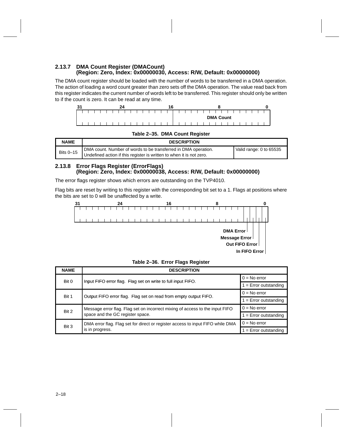### **2.13.7 DMA Count Register (DMACount) (Region: Zero, Index: 0x00000030, Access: R/W, Default: 0x00000000)**

The DMA count register should be loaded with the number of words to be transferred in a DMA operation. The action of loading a word count greater than zero sets off the DMA operation. The value read back from this register indicates the current number of words left to be transferred. This register should only be written to if the count is zero. It can be read at any time.



### **Table 2–35. DMA Count Register**

| <b>NAME</b> | <b>DESCRIPTION</b>                                                                                                                     |                         |
|-------------|----------------------------------------------------------------------------------------------------------------------------------------|-------------------------|
| Bits 0-15   | DMA count. Number of words to be transferred in DMA operation.<br>Undefined action if this register is written to when it is not zero. | Valid range: 0 to 65535 |

#### **2.13.8 Error Flags Register (ErrorFlags) (Region: Zero, Index: 0x00000038, Access: R/W, Default: 0x00000000)**

The error flags register shows which errors are outstanding on the TVP4010.

Flag bits are reset by writing to this register with the corresponding bit set to a 1. Flags at positions where the bits are set to 0 will be unaffected by a write.



### **Table 2–36. Error Flags Register**

| <b>NAME</b> |                                                                                |                       |  |  |
|-------------|--------------------------------------------------------------------------------|-----------------------|--|--|
| Bit 0       | Input FIFO error flag. Flag set on write to full input FIFO.                   | $0 = No error$        |  |  |
|             |                                                                                | $=$ Error outstanding |  |  |
| Bit 1       | Output FIFO error flag. Flag set on read from empty output FIFO.               | $0 = No error$        |  |  |
|             |                                                                                | $=$ Error outstanding |  |  |
| Bit 2       | Message error flag. Flag set on incorrect mixing of access to the input FIFO   | $0 = No error$        |  |  |
|             | space and the GC register space.                                               | $=$ Error outstanding |  |  |
| Bit 3       | DMA error flag. Flag set for direct or register access to input FIFO while DMA | $0 = No error$        |  |  |
|             | is in progress.                                                                | $=$ Error outstanding |  |  |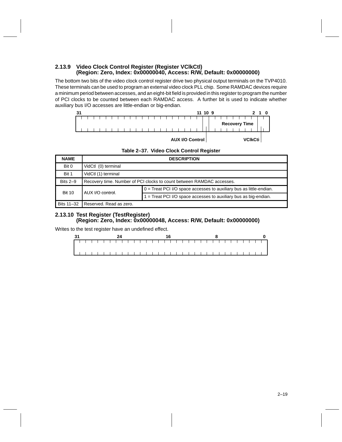### **2.13.9 Video Clock Control Register (Register VClkCtl) (Region: Zero, Index: 0x00000040, Access: R/W, Default: 0x00000000)**

The bottom two bits of the video clock control register drive two physical output terminals on the TVP4010. These terminals can be used to program an external video clock PLL chip. Some RAMDAC devices require a minimum period between accesses, and an eight-bit field is provided in this register to program the number of PCI clocks to be counted between each RAMDAC access. A further bit is used to indicate whether auxiliary bus I/O accesses are little-endian or big-endian.





| <b>NAME</b>   | <b>DESCRIPTION</b>                                                    |                                                                       |  |  |  |
|---------------|-----------------------------------------------------------------------|-----------------------------------------------------------------------|--|--|--|
| Bit 0         | VidCtl (0) terminal                                                   |                                                                       |  |  |  |
| Bit 1         | VidCtl (1) terminal                                                   |                                                                       |  |  |  |
| Bits $2-9$    | Recovery time. Number of PCI clocks to count between RAMDAC accesses. |                                                                       |  |  |  |
| <b>Bit 10</b> | AUX I/O control.                                                      | $0 =$ Treat PCI I/O space accesses to auxiliary bus as little-endian. |  |  |  |
|               |                                                                       | $1 =$ Treat PCI I/O space accesses to auxiliary bus as big-endian.    |  |  |  |
|               | Bits 11-32 Reserved. Read as zero.                                    |                                                                       |  |  |  |

#### **2.13.10 Test Register (TestRegister) (Region: Zero, Index: 0x00000048, Access: R/W, Default: 0x00000000)**

Writes to the test register have an undefined effect.

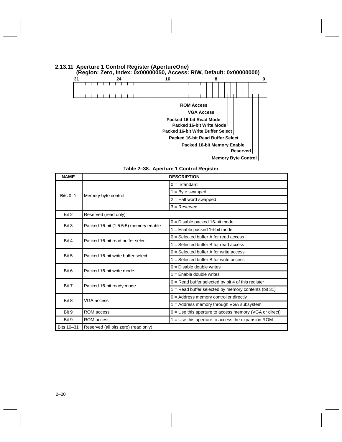

|  |  | Table 2-38. Aperture 1 Control Register |
|--|--|-----------------------------------------|
|--|--|-----------------------------------------|

| <b>NAME</b> |                                       | <b>DESCRIPTION</b>                                       |
|-------------|---------------------------------------|----------------------------------------------------------|
|             |                                       | $0 =$ Standard                                           |
| Bits $0-1$  |                                       | $1 =$ Byte swapped                                       |
|             | Memory byte control                   | $2 =$ Half word swapped                                  |
|             |                                       | $3 =$ Reserved                                           |
| Bit 2       | Reserved (read only)                  |                                                          |
| Bit 3       |                                       | $0 =$ Disable packed 16-bit mode                         |
|             | Packed 16-bit (1:5:5:5) memory enable | 1 = Enable packed 16-bit mode                            |
| Bit 4       | Packed 16-bit read buffer select      | $0 =$ Selected buffer A for read access                  |
|             |                                       | $1 =$ Selected buffer B for read access                  |
| Bit 5       | Packed 16-bit write buffer select     | $0 =$ Selected buffer A for write access                 |
|             |                                       | $1 =$ Selected buffer B for write access                 |
| Bit 6       | Packed 16-bit write mode              | $0 =$ Disable double writes                              |
|             |                                       | $1 =$ Enable double writes                               |
| Bit 7       | Packed 16-bit ready mode              | $0 =$ Read buffer selected by bit 4 of this register     |
|             |                                       | 1 = Read buffer selected by memory contents (bit 31)     |
| Bit 8       | VGA access                            | $0 =$ Address memory controller directly                 |
|             |                                       | 1 = Address memory through VGA subsystem                 |
| Bit 9       | <b>ROM</b> access                     | $0 =$ Use this aperture to access memory (VGA or direct) |
| Bit 9       | <b>ROM</b> access                     | 1 = Use this aperture to access the expansion ROM        |
| Bits 10-31  | Reserved (all bits zero) (read only)  |                                                          |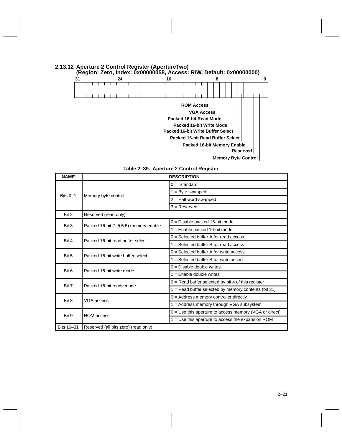

|  | Table 2-39. Aperture 2 Control Register |
|--|-----------------------------------------|
|--|-----------------------------------------|

| <b>NAME</b> |                                       | <b>DESCRIPTION</b>                                       |
|-------------|---------------------------------------|----------------------------------------------------------|
|             |                                       | $0 =$ Standard                                           |
| Bits $0-1$  |                                       | $1 =$ Byte swapped                                       |
|             | Memory byte control                   | $2 =$ Half word swapped                                  |
|             |                                       | $3 =$ Reserved                                           |
| Bit 2       | Reserved (read only)                  |                                                          |
| Bit 3       |                                       | $0 =$ Disable packed 16-bit mode                         |
|             | Packed 16-bit (1:5:5:5) memory enable | 1 = Enable packed 16-bit mode                            |
| Bit 4       | Packed 16-bit read buffer select      | $0 =$ Selected buffer A for read access                  |
|             |                                       | $1 =$ Selected buffer B for read access                  |
| Bit 5       | Packed 16-bit write buffer select     | $0 =$ Selected buffer A for write access                 |
|             |                                       | $1 =$ Selected buffer B for write access                 |
| Bit 6       | Packed 16-bit write mode              | $0 =$ Disable double writes                              |
|             |                                       | $1 =$ Enable double writes                               |
| Bit 7       | Packed 16-bit ready mode              | $0 =$ Read buffer selected by bit 4 of this register     |
|             |                                       | $1 =$ Read buffer selected by memory contents (bit 31)   |
| Bit 8       | VGA access                            | $0 =$ Address memory controller directly                 |
|             |                                       | $1 =$ Address memory through VGA subsystem               |
| Bit 9       | ROM access                            | $0 =$ Use this aperture to access memory (VGA or direct) |
|             |                                       | 1 = Use this aperture to access the expansion ROM        |
| Bits 10-31  | Reserved (all bits zero) (read only)  |                                                          |

# **2.13.12 Aperture 2 Control Register (ApertureTwo)**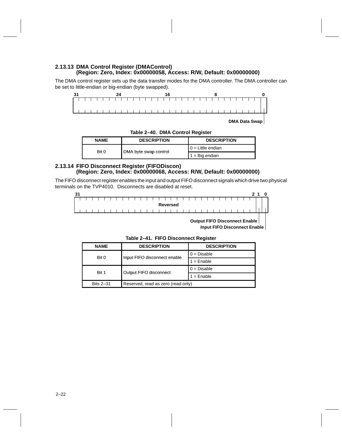### **2.13.13 DMA Control Register (DMAControl) (Region: Zero, Index: 0x00000058, Access: R/W, Default: 0x00000000)**

The DMA control register sets up the data transfer modes for the DMA controller. The DMA controller can be set to little-endian or big-endian (byte swapped).



**Table 2–40. DMA Control Register**

| <b>NAME</b> | <b>DESCRIPTION</b>    | <b>DESCRIPTION</b>  |  |  |  |  |  |
|-------------|-----------------------|---------------------|--|--|--|--|--|
| Bit 0       |                       | l 0 = Little endian |  |  |  |  |  |
|             | DMA byte swap control | $1 = Biq$ endian    |  |  |  |  |  |

### **2.13.14 FIFO Disconnect Register (FIFODiscon) (Region: Zero, Index: 0x00000068, Access: R/W, Default: 0x00000000)**

The FIFO disconnect register enables the input and output FIFO disconnect signals which drive two physical terminals on the TVP4010. Disconnects are disabled at reset.



**Output FIFO Disconnect Enable**

**Input FIFO Disconnect Enable**

| <b>NAME</b>      | <b>DESCRIPTION</b>                 | <b>DESCRIPTION</b> |  |  |  |  |  |
|------------------|------------------------------------|--------------------|--|--|--|--|--|
| Bit 0            | Input FIFO disconnect enable       | $0 = Disable$      |  |  |  |  |  |
|                  |                                    | $1 =$ Enable       |  |  |  |  |  |
| Bit 1            |                                    | $0 = Disable$      |  |  |  |  |  |
|                  | Output FIFO disconnect             | $1 =$ Enable       |  |  |  |  |  |
| <b>Bits 2-31</b> | Reserved, read as zero (read only) |                    |  |  |  |  |  |

#### **Table 2–41. FIFO Disconnect Register**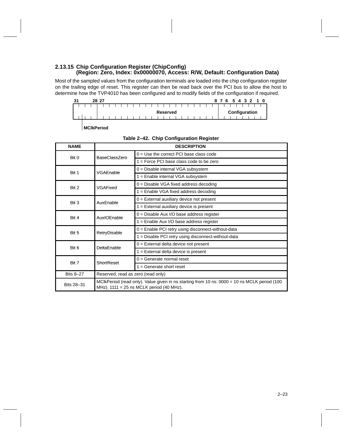### **2.13.15 Chip Configuration Register (ChipConfig) (Region: Zero, Index: 0x00000070, Access: R/W, Default: Configuration Data)**

Most of the sampled values from the configuration terminals are loaded into the chip configuration register on the trailing edge of reset. This register can then be read back over the PCI bus to allow the host to determine how the TVP4010 has been configured and to modify fields of the configuration if required.

|  | 28 27 |  |  |  |  |  |                 |  |  |  |  |               |  | 876543210 |  |
|--|-------|--|--|--|--|--|-----------------|--|--|--|--|---------------|--|-----------|--|
|  |       |  |  |  |  |  |                 |  |  |  |  |               |  |           |  |
|  |       |  |  |  |  |  |                 |  |  |  |  |               |  |           |  |
|  |       |  |  |  |  |  | <b>Reserved</b> |  |  |  |  | Configuration |  |           |  |
|  |       |  |  |  |  |  |                 |  |  |  |  |               |  |           |  |

**MClkPeriod**

| <b>NAME</b> |                                    | <b>DESCRIPTION</b>                                                                                                                         |  |  |  |  |  |  |  |  |  |
|-------------|------------------------------------|--------------------------------------------------------------------------------------------------------------------------------------------|--|--|--|--|--|--|--|--|--|
| Bit 0       | <b>BaseClassZero</b>               | $0 =$ Use the correct PCI base class code                                                                                                  |  |  |  |  |  |  |  |  |  |
|             |                                    | $1 =$ Force PCI base class code to be zero                                                                                                 |  |  |  |  |  |  |  |  |  |
| Bit 1       | VGAEnable                          | 0 = Disable internal VGA subsystem                                                                                                         |  |  |  |  |  |  |  |  |  |
|             |                                    | 1 = Enable internal VGA subsystem                                                                                                          |  |  |  |  |  |  |  |  |  |
| Bit 2       | VGAFixed                           | 0 = Disable VGA fixed address decoding                                                                                                     |  |  |  |  |  |  |  |  |  |
|             |                                    | $1 =$ Enable VGA fixed address decoding                                                                                                    |  |  |  |  |  |  |  |  |  |
| Bit 3       | AuxEnable                          | $0 =$ External auxiliary device not present                                                                                                |  |  |  |  |  |  |  |  |  |
|             |                                    | 1 = External auxiliary device is present                                                                                                   |  |  |  |  |  |  |  |  |  |
| Bit 4       | AuxIOEnable                        | $0 =$ Disable Aux I/O base address register                                                                                                |  |  |  |  |  |  |  |  |  |
|             |                                    | 1 = Enable Aux I/O base address register                                                                                                   |  |  |  |  |  |  |  |  |  |
| Bit 5       | RetryDisable                       | $0 =$ Enable PCI retry using disconnect-without-data                                                                                       |  |  |  |  |  |  |  |  |  |
|             |                                    | 1 = Disable PCI retry using disconnect-without-data                                                                                        |  |  |  |  |  |  |  |  |  |
| Bit 6       | DeltaEnable                        | $0 =$ External delta device not present                                                                                                    |  |  |  |  |  |  |  |  |  |
|             |                                    | $1 =$ External delta device is present                                                                                                     |  |  |  |  |  |  |  |  |  |
| Bit 7       | ShortReset                         | $0 =$ Generate normal reset                                                                                                                |  |  |  |  |  |  |  |  |  |
|             |                                    | $1 =$ Generate short reset                                                                                                                 |  |  |  |  |  |  |  |  |  |
| Bits 8-27   | Reserved, read as zero (read only) |                                                                                                                                            |  |  |  |  |  |  |  |  |  |
| Bits 28-31  |                                    | MCIkPeriod (read only). Value given in ns starting from 10 ns: 0000 = 10 ns MCLK period (100<br>MHz). $1111 = 25$ ns MCLK period (40 MHz). |  |  |  |  |  |  |  |  |  |

#### **Table 2–42. Chip Configuration Register**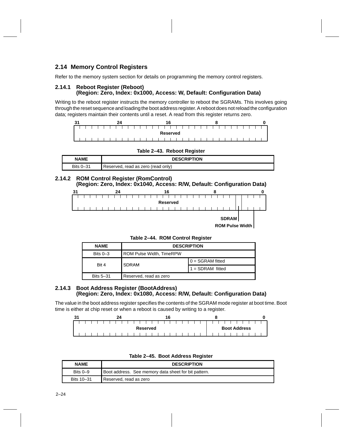# **2.14 Memory Control Registers**

Refer to the memory system section for details on programming the memory control registers.

### **2.14.1 Reboot Register (Reboot) (Region: Zero, Index: 0x1000, Access: W, Default: Configuration Data)**

Writing to the reboot register instructs the memory controller to reboot the SGRAMs. This involves going through the reset sequence and loading the boot address register. A reboot does not reload the configuration data; registers maintain their contents until a reset. A read from this register returns zero.

| 31 |  |  |  | -24 |  | '6 |  |  |  |  |          |  |  |  |  |  |  |  |  |  |  |  |  |  |  |  |
|----|--|--|--|-----|--|----|--|--|--|--|----------|--|--|--|--|--|--|--|--|--|--|--|--|--|--|--|
|    |  |  |  |     |  |    |  |  |  |  |          |  |  |  |  |  |  |  |  |  |  |  |  |  |  |  |
|    |  |  |  |     |  |    |  |  |  |  | Reserved |  |  |  |  |  |  |  |  |  |  |  |  |  |  |  |
|    |  |  |  |     |  |    |  |  |  |  |          |  |  |  |  |  |  |  |  |  |  |  |  |  |  |  |

#### **Table 2–43. Reboot Register**

| <b>NAME</b> | <b>DESCRIPTION</b>                 |
|-------------|------------------------------------|
| Bits 0–31   | Reserved, read as zero (read only) |

**2.14.2 ROM Control Register (RomControl) (Region: Zero, Index: 0x1040, Access: R/W, Default: Configuration Data)**



**Table 2–44. ROM Control Register**

| <b>NAME</b>      | <b>DESCRIPTION</b>              |                      |
|------------------|---------------------------------|----------------------|
| Bits $0-3$       | <b>ROM Pulse Width, TimeRPW</b> |                      |
| Bit 4            | <b>SDRAM</b>                    | $I$ 0 = SGRAM fitted |
|                  |                                 | $1 = SDRAM$ fitted   |
| <b>Bits 5-31</b> | Reserved, read as zero          |                      |

### **2.14.3 Boot Address Register (BootAddress) (Region: Zero, Index: 0x1080, Access: R/W, Default: Configuration Data)**

The value in the boot address register specifies the contents of the SGRAM mode register at boot time. Boot time is either at chip reset or when a reboot is caused by writing to a register.

| 3 <sup>1</sup> |  |  |  | 24 |  |  |                 |  | 16 |  |  |  |  |                     |  |  |  |
|----------------|--|--|--|----|--|--|-----------------|--|----|--|--|--|--|---------------------|--|--|--|
|                |  |  |  |    |  |  |                 |  |    |  |  |  |  |                     |  |  |  |
|                |  |  |  |    |  |  | <b>Reserved</b> |  |    |  |  |  |  | <b>Boot Address</b> |  |  |  |
|                |  |  |  |    |  |  |                 |  |    |  |  |  |  |                     |  |  |  |

|  | Table 2-45. Boot Address Register |  |
|--|-----------------------------------|--|
|--|-----------------------------------|--|

| <b>NAME</b> | <b>DESCRIPTION</b>                                    |
|-------------|-------------------------------------------------------|
| Bits $0-9$  | 'Boot address. See memory data sheet for bit pattern. |
| Bits 10-31  | Reserved, read as zero                                |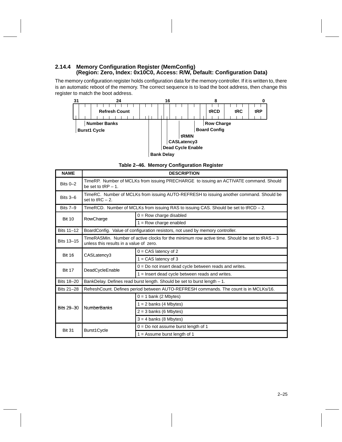### **2.14.4 Memory Configuration Register (MemConfig) (Region: Zero, Index: 0x10C0, Access: R/W, Default: Configuration Data)**

The memory configuration register holds configuration data for the memory controller. If it is written to, there is an automatic reboot of the memory. The correct sequence is to load the boot address, then change this register to match the boot address.





| <b>NAME</b>       | <b>DESCRIPTION</b>                      |                                                                                                |  |  |  |  |  |  |  |  |
|-------------------|-----------------------------------------|------------------------------------------------------------------------------------------------|--|--|--|--|--|--|--|--|
| Bits $0-2$        | be set to $tRP - 1$ .                   | TimeRP. Number of MCLKs from issuing PRECHARGE to issuing an ACTIVATE command. Should          |  |  |  |  |  |  |  |  |
| Bits $3-6$        | set to $tRC - 2$ .                      | TimeRC. Number of MCLKs from issuing AUTO-REFRESH to issuing another command. Should be        |  |  |  |  |  |  |  |  |
| Bits 7-9          |                                         | TimeRCD. Number of MCLKs from issuing RAS to issuing CAS. Should be set to tRCD $-2$ .         |  |  |  |  |  |  |  |  |
| <b>Bit 10</b>     | RowCharge                               | $0 = Row$ charge disabled                                                                      |  |  |  |  |  |  |  |  |
|                   |                                         | $1 = Row charge enabled$                                                                       |  |  |  |  |  |  |  |  |
| Bits 11-12        |                                         | BoardConfig. Value of configuration resistors, not used by memory controller.                  |  |  |  |  |  |  |  |  |
| Bits 13-15        | unless this results in a value of zero. | TimeRASMin. Number of active clocks for the minimum row active time. Should be set to tRAS – 3 |  |  |  |  |  |  |  |  |
| <b>Bit 16</b>     | CASLatency3                             | $0 = CAS$ latency of 2                                                                         |  |  |  |  |  |  |  |  |
|                   |                                         | $1 = CAS$ latency of 3                                                                         |  |  |  |  |  |  |  |  |
| <b>Bit 17</b>     | DeadCycleEnable                         | 0 = Do not insert dead cycle between reads and writes.                                         |  |  |  |  |  |  |  |  |
|                   |                                         | 1 = Insert dead cycle between reads and writes.                                                |  |  |  |  |  |  |  |  |
| <b>Bits 18-20</b> |                                         | BankDelay. Defines read burst length. Should be set to burst length - 1.                       |  |  |  |  |  |  |  |  |
| Bits 21-28        |                                         | RefreshCount. Defines period between AUTO-REFRESH commands. The count is in MCLKs/16.          |  |  |  |  |  |  |  |  |
|                   |                                         | $0 = 1$ bank (2 Mbytes)                                                                        |  |  |  |  |  |  |  |  |
| Bits 29-30        | <b>NumberBanks</b>                      | $1 = 2$ banks (4 Mbytes)                                                                       |  |  |  |  |  |  |  |  |
|                   |                                         | $2 = 3$ banks (6 Mbytes)                                                                       |  |  |  |  |  |  |  |  |
|                   |                                         | $3 = 4$ banks (8 Mbytes)                                                                       |  |  |  |  |  |  |  |  |
| <b>Bit 31</b>     | Burst1 Cycle                            | $0 = Do$ not assume burst length of 1                                                          |  |  |  |  |  |  |  |  |
|                   |                                         | $1 =$ Assume burst length of 1                                                                 |  |  |  |  |  |  |  |  |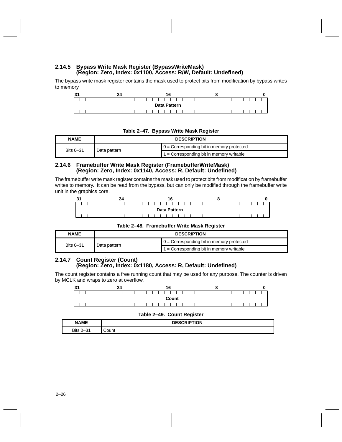### **2.14.5 Bypass Write Mask Register (BypassWriteMask) (Region: Zero, Index: 0x1100, Access: R/W, Default: Undefined)**

The bypass write mask register contains the mask used to protect bits from modification by bypass writes to memory.



| Table 2-47. Bypass Write Mask Register |  |  |
|----------------------------------------|--|--|
|                                        |  |  |

| <b>NAME</b> |              | <b>DESCRIPTION</b>                          |
|-------------|--------------|---------------------------------------------|
| Bits 0-31   | Data pattern | $0 =$ Corresponding bit in memory protected |
|             |              | $1 =$ Corresponding bit in memory writable  |

#### **2.14.6 Framebuffer Write Mask Register (FramebufferWriteMask) (Region: Zero, Index: 0x1140, Access: R, Default: Undefined)**

The framebuffer write mask register contains the mask used to protect bits from modification by framebuffer writes to memory. It can be read from the bypass, but can only be modified through the framebuffer write unit in the graphics core.



#### **Table 2–48. Framebuffer Write Mask Register**

| <b>NAME</b> | <b>DESCRIPTION</b> |                                             |  |  |  |  |  |  |  |  |  |
|-------------|--------------------|---------------------------------------------|--|--|--|--|--|--|--|--|--|
| Bits 0-31   |                    | $0 =$ Corresponding bit in memory protected |  |  |  |  |  |  |  |  |  |
|             | Data pattern       | 1 = Corresponding bit in memory writable    |  |  |  |  |  |  |  |  |  |

### **2.14.7 Count Register (Count) (Region: Zero, Index: 0x1180, Access: R, Default: Undefined)**

The count register contains a free running count that may be used for any purpose. The counter is driven by MCLK and wraps to zero at overflow.



### **Table 2–49. Count Register**

| <b>NAME</b>      | <b>DESCRIPTION</b> |
|------------------|--------------------|
| <b>Bits 0-31</b> | Count              |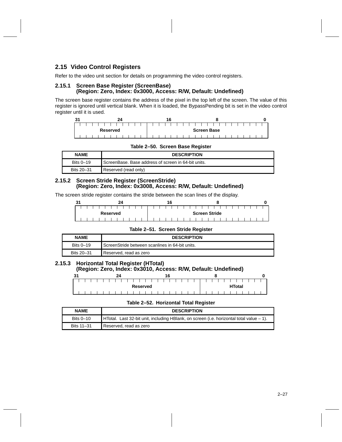# **2.15 Video Control Registers**

Refer to the video unit section for details on programming the video control registers.

#### **2.15.1 Screen Base Register (ScreenBase) (Region: Zero, Index: 0x3000, Access: R/W, Default: Undefined)**

The screen base register contains the address of the pixel in the top left of the screen. The value of this register is ignored until vertical blank. When it is loaded, the BypassPending bit is set in the video control register until it is used.



**Table 2–50. Screen Base Register**

| <b>NAME</b> | <b>DESCRIPTION</b>                                    |
|-------------|-------------------------------------------------------|
| Bits 0-19   | I ScreenBase. Base address of screen in 64-bit units. |
| Bits 20-31  | Reserved (read only)                                  |

### **2.15.2 Screen Stride Register (ScreenStride) (Region: Zero, Index: 0x3008, Access: R/W, Default: Undefined)**

The screen stride register contains the stride between the scan lines of the display.

| 21<br>◡ |  |  |          |  |  |  |  |  | 10 |  |  |                      |  |  |  |  |  |
|---------|--|--|----------|--|--|--|--|--|----|--|--|----------------------|--|--|--|--|--|
|         |  |  |          |  |  |  |  |  |    |  |  |                      |  |  |  |  |  |
|         |  |  | Reserved |  |  |  |  |  |    |  |  | <b>Screen Stride</b> |  |  |  |  |  |
|         |  |  |          |  |  |  |  |  |    |  |  |                      |  |  |  |  |  |

### **Table 2–51. Screen Stride Register**

| <b>NAME</b>      | <b>DESCRIPTION</b>                                       |
|------------------|----------------------------------------------------------|
| <b>Bits 0-19</b> | <b>I</b> ScreenStride between scanlines in 64-bit units. |
| Bits 20-31       | Reserved, read as zero                                   |

#### **2.15.3 Horizontal Total Register (HTotal) (Region: Zero, Index: 0x3010, Access: R/W, Default: Undefined)**

| Reserved | <b>HTotal</b> |  |
|----------|---------------|--|
|          |               |  |

### **Table 2–52. Horizontal Total Register**

| <b>NAME</b> | <b>DESCRIPTION</b>                                                                       |
|-------------|------------------------------------------------------------------------------------------|
| Bits $0-10$ | HTotal. Last 32-bit unit, including HBlank, on screen (i.e. horizontal total value – 1). |
| Bits 11-31  | Reserved, read as zero                                                                   |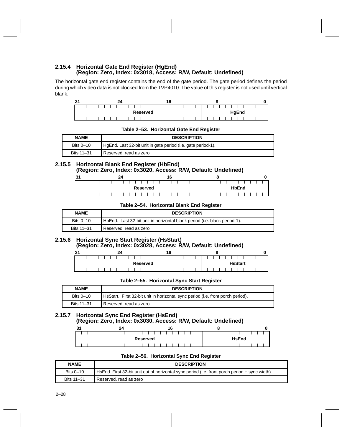### **2.15.4 Horizontal Gate End Register (HgEnd) (Region: Zero, Index: 0x3018, Access: R/W, Default: Undefined)**

The horizontal gate end register contains the end of the gate period. The gate period defines the period during which video data is not clocked from the TVP4010. The value of this register is not used until vertical blank.

| $\sim$<br>J. |  |  |  | $\sim$<br>24 |  |  |          |  | <br>10 |  |  |  |  |  |  |              |  |  |
|--------------|--|--|--|--------------|--|--|----------|--|--------|--|--|--|--|--|--|--------------|--|--|
|              |  |  |  |              |  |  |          |  |        |  |  |  |  |  |  |              |  |  |
|              |  |  |  |              |  |  | Reserved |  |        |  |  |  |  |  |  | <b>HgEnd</b> |  |  |
|              |  |  |  |              |  |  |          |  |        |  |  |  |  |  |  |              |  |  |

| Table 2-53. Horizontal Gate End Register |  |  |  |  |
|------------------------------------------|--|--|--|--|
|------------------------------------------|--|--|--|--|

| <b>NAME</b> | <b>DESCRIPTION</b>                                           |
|-------------|--------------------------------------------------------------|
| Bits $0-10$ | HgEnd. Last 32-bit unit in gate period (i.e. gate period-1). |
| Bits 11-31  | Reserved, read as zero                                       |

#### **2.15.5 Horizontal Blank End Register (HbEnd) (Region: Zero, Index: 0x3020, Access: R/W, Default: Undefined)**

| $\mathbf{z}$<br>◡ | _ |  | . . | 24 |  |          | . . |  | 16. |  |  |  |  |  |              | . . |  |  |
|-------------------|---|--|-----|----|--|----------|-----|--|-----|--|--|--|--|--|--------------|-----|--|--|
|                   |   |  |     |    |  |          |     |  |     |  |  |  |  |  |              |     |  |  |
|                   |   |  |     |    |  | Reserved |     |  |     |  |  |  |  |  | <b>HbEnd</b> |     |  |  |
|                   |   |  |     |    |  |          |     |  |     |  |  |  |  |  |              |     |  |  |

### **Table 2–54. Horizontal Blank End Register**

| <b>NAME</b> | <b>DESCRIPTION</b>                                                        |
|-------------|---------------------------------------------------------------------------|
| Bits 0-10   | HbEnd. Last 32-bit unit in horizontal blank period (i.e. blank period-1). |
| Bits 11-31  | Reserved, read as zero                                                    |

### **2.15.6 Horizontal Sync Start Register (HsStart) (Region: Zero, Index: 0x3028, Access: R/W, Default: Undefined)**

| 24<br>ЮI |  |  |  | 24 |  |          |  |  | 16 |  |  |  |  |  |                |  | ◠ |
|----------|--|--|--|----|--|----------|--|--|----|--|--|--|--|--|----------------|--|---|
|          |  |  |  |    |  |          |  |  |    |  |  |  |  |  |                |  |   |
|          |  |  |  |    |  | Reserved |  |  |    |  |  |  |  |  | <b>HsStart</b> |  |   |
|          |  |  |  |    |  |          |  |  |    |  |  |  |  |  |                |  |   |

### **Table 2–55. Horizontal Sync Start Register**

| <b>NAME</b> | <b>DESCRIPTION</b>                                                              |
|-------------|---------------------------------------------------------------------------------|
| Bits 0-10   | HsStart. First 32-bit unit in horizontal sync period (i.e. front porch period). |
| Bits 11-31  | Reserved, read as zero                                                          |

### **2.15.7 Horizontal Sync End Register (HsEnd) (Region: Zero, Index: 0x3030, Access: R/W, Default: Undefined)**

|  |  |  |  |    | $(1.9)$ . $\pm 0.9$ ; $\pm 0.00$ . $\pm 0.000$ . $\pm 0.000$ . $\pm 0.00$ . $\pm 0.00$ . $\pm 0.00$ . $\pm 0.00$ . |          |   |  |    |  |  |  |  |  |              |  |  |  |
|--|--|--|--|----|--------------------------------------------------------------------------------------------------------------------|----------|---|--|----|--|--|--|--|--|--------------|--|--|--|
|  |  |  |  | 24 |                                                                                                                    |          |   |  | 16 |  |  |  |  |  |              |  |  |  |
|  |  |  |  |    |                                                                                                                    |          | . |  |    |  |  |  |  |  |              |  |  |  |
|  |  |  |  |    |                                                                                                                    | Reserved |   |  |    |  |  |  |  |  | <b>HsEnd</b> |  |  |  |
|  |  |  |  |    |                                                                                                                    |          |   |  |    |  |  |  |  |  |              |  |  |  |

### **Table 2–56. Horizontal Sync End Register**

| <b>NAME</b> | <b>DESCRIPTION</b>                                                                             |
|-------------|------------------------------------------------------------------------------------------------|
| Bits 0-10   | HsEnd. First 32-bit unit out of horizontal sync period (i.e. front porch period + sync width). |
| Bits 11-31  | Reserved, read as zero                                                                         |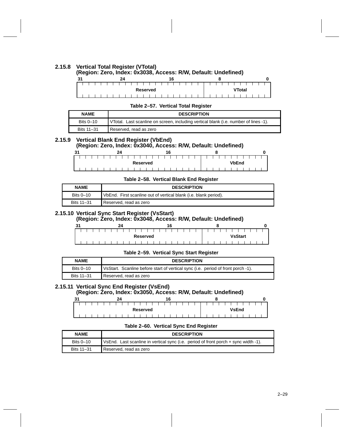### **2.15.8 Vertical Total Register (VTotal)**

### **(Region: Zero, Index: 0x3038, Access: R/W, Default: Undefined)**

| 31 |  |  | ົ |  |          |  |  | 10 |  |  |  |  |  |               |  |  |
|----|--|--|---|--|----------|--|--|----|--|--|--|--|--|---------------|--|--|
|    |  |  |   |  |          |  |  |    |  |  |  |  |  |               |  |  |
|    |  |  |   |  | Reserved |  |  |    |  |  |  |  |  | <b>VTotal</b> |  |  |
|    |  |  |   |  |          |  |  |    |  |  |  |  |  |               |  |  |

| <b>NAME</b> | <b>DESCRIPTION</b>                                                                   |
|-------------|--------------------------------------------------------------------------------------|
| Bits 0-10   | VTotal. Last scanline on screen, including vertical blank (i.e. number of lines -1). |
| Bits 11-31  | Reserved, read as zero                                                               |

### **Table 2–57. Vertical Total Register**

#### **2.15.9 Vertical Blank End Register (VbEnd) (Region: Zero, Index: 0x3040, Access: R/W, Default: Undefined)**

| $\sim$<br>. پ | _ |  |  | 24 |  |          | . . |  | $\sim$<br>16 |  |  |  |  |  |              | . . |  |  |
|---------------|---|--|--|----|--|----------|-----|--|--------------|--|--|--|--|--|--------------|-----|--|--|
|               |   |  |  |    |  |          |     |  |              |  |  |  |  |  |              |     |  |  |
|               |   |  |  |    |  | Reserved |     |  |              |  |  |  |  |  | <b>VbEnd</b> |     |  |  |
|               |   |  |  |    |  |          |     |  |              |  |  |  |  |  |              |     |  |  |

#### **Table 2–58. Vertical Blank End Register**

| <b>NAME</b> | <b>DESCRIPTION</b>                                               |
|-------------|------------------------------------------------------------------|
| Bits 0-10   | VbEnd. First scanline out of vertical blank (i.e. blank period). |
| Bits 11-31  | Reserved, read as zero                                           |

### **2.15.10 Vertical Sync Start Register (VsStart)**

#### **(Region: Zero, Index: 0x3048, Access: R/W, Default: Undefined)**

| 31 |  |  |  |  |  |          |   |  | 70 |  |  |  |  |                |  |  |  |
|----|--|--|--|--|--|----------|---|--|----|--|--|--|--|----------------|--|--|--|
|    |  |  |  |  |  |          | . |  |    |  |  |  |  |                |  |  |  |
|    |  |  |  |  |  | Reserved |   |  |    |  |  |  |  | <b>VsStart</b> |  |  |  |
|    |  |  |  |  |  |          |   |  |    |  |  |  |  |                |  |  |  |

#### **Table 2–59. Vertical Sync Start Register**

| <b>NAME</b> | <b>DESCRIPTION</b>                                                               |
|-------------|----------------------------------------------------------------------------------|
| Bits 0-10   | VsStart. Scanline before start of vertical sync (i.e. period of front porch -1). |
| Bits 11-31  | Reserved, read as zero                                                           |

### **2.15.11 Vertical Sync End Register (VsEnd)**

**(Region: Zero, Index: 0x3050, Access: R/W, Default: Undefined)**

| $\cdot$ | _ |  |  | 24 |          |  | . . |  | 16 |  | . |  |  |  |  |              |  |  |
|---------|---|--|--|----|----------|--|-----|--|----|--|---|--|--|--|--|--------------|--|--|
|         |   |  |  |    |          |  |     |  |    |  |   |  |  |  |  |              |  |  |
|         |   |  |  |    | Reserved |  |     |  |    |  |   |  |  |  |  | <b>VsEnd</b> |  |  |
|         |   |  |  |    |          |  |     |  |    |  |   |  |  |  |  |              |  |  |

#### **Table 2–60. Vertical Sync End Register**

| <b>NAME</b> | <b>DESCRIPTION</b>                                                                  |
|-------------|-------------------------------------------------------------------------------------|
| Bits $0-10$ | VsEnd. Last scanline in vertical sync (i.e. period of front porch + sync width -1). |
| Bits 11-31  | Reserved, read as zero                                                              |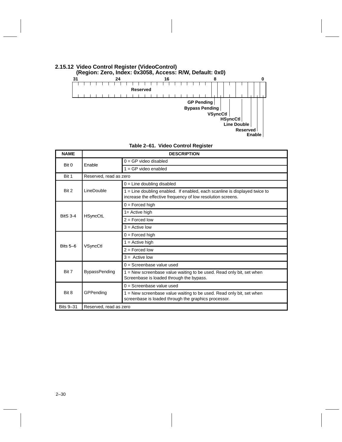

| Table 2-61. Video Control Register |  |  |
|------------------------------------|--|--|
|                                    |  |  |

| <b>NAME</b>     |                        | <b>DESCRIPTION</b>                                                                                                                        |  |  |  |  |  |  |  |  |  |  |
|-----------------|------------------------|-------------------------------------------------------------------------------------------------------------------------------------------|--|--|--|--|--|--|--|--|--|--|
| Bit 0           | Fnable                 | $0 = GP$ video disabled                                                                                                                   |  |  |  |  |  |  |  |  |  |  |
|                 |                        | $1 = GP$ video enabled                                                                                                                    |  |  |  |  |  |  |  |  |  |  |
| Bit 1           | Reserved, read as zero |                                                                                                                                           |  |  |  |  |  |  |  |  |  |  |
|                 |                        | $0 =$ Line doubling disabled                                                                                                              |  |  |  |  |  |  |  |  |  |  |
| Bit 2           | LineDouble             | 1 = Line doubling enabled. If enabled, each scanline is displayed twice to<br>increase the effective frequency of low resolution screens. |  |  |  |  |  |  |  |  |  |  |
|                 |                        | $0 =$ Forced high                                                                                                                         |  |  |  |  |  |  |  |  |  |  |
| <b>BitS 3-4</b> | <b>HSyncCtL</b>        | $1 =$ Active high                                                                                                                         |  |  |  |  |  |  |  |  |  |  |
|                 |                        | $2 =$ Forced low                                                                                                                          |  |  |  |  |  |  |  |  |  |  |
|                 |                        | $3 =$ Active low                                                                                                                          |  |  |  |  |  |  |  |  |  |  |
|                 |                        | $0 =$ Forced high                                                                                                                         |  |  |  |  |  |  |  |  |  |  |
| Bits $5-6$      | VSyncCtl               | $1 =$ Active high                                                                                                                         |  |  |  |  |  |  |  |  |  |  |
|                 |                        | $2 =$ Forced low                                                                                                                          |  |  |  |  |  |  |  |  |  |  |
|                 |                        | $3 =$ Active low                                                                                                                          |  |  |  |  |  |  |  |  |  |  |
|                 |                        | $0 =$ Screenbase value used                                                                                                               |  |  |  |  |  |  |  |  |  |  |
| Bit 7           | <b>BypassPending</b>   | 1 = New screenbase value waiting to be used. Read only bit, set when<br>Screenbase is loaded through the bypass.                          |  |  |  |  |  |  |  |  |  |  |
|                 |                        | $0 =$ Screenbase value used                                                                                                               |  |  |  |  |  |  |  |  |  |  |
| Bit 8           | GPPending              | 1 = New screenbase value waiting to be used. Read only bit, set when<br>screenbase is loaded through the graphics processor.              |  |  |  |  |  |  |  |  |  |  |
| Bits 9-31       | Reserved, read as zero |                                                                                                                                           |  |  |  |  |  |  |  |  |  |  |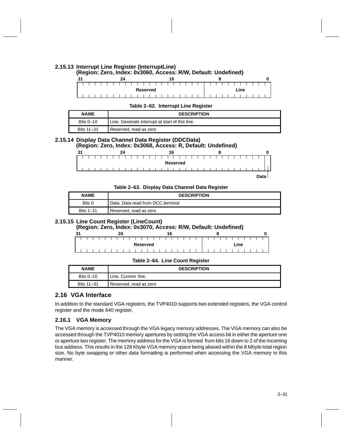#### **2.15.13 Interrupt Line Register (InterruptLine) (Region: Zero, Index: 0x3060, Access: R/W, Default: Undefined)**

|  |  |  |  |    |  |          |  |  |  | (Region, Lero, muex, 0x9000, Access, iviti, Delault, Ondermed) |  |  |  |      |  |  |  |
|--|--|--|--|----|--|----------|--|--|--|----------------------------------------------------------------|--|--|--|------|--|--|--|
|  |  |  |  | 94 |  |          |  |  |  |                                                                |  |  |  |      |  |  |  |
|  |  |  |  |    |  |          |  |  |  | 1 1 1 1 1 1 1 1 1 1 1 1 1 1 1 1 1                              |  |  |  |      |  |  |  |
|  |  |  |  |    |  | Reserved |  |  |  |                                                                |  |  |  | Line |  |  |  |
|  |  |  |  |    |  |          |  |  |  |                                                                |  |  |  |      |  |  |  |

#### **Table 2–62. Interrupt Line Register**

| <b>NAME</b> | <b>DESCRIPTION</b>                              |
|-------------|-------------------------------------------------|
| Bits 0-10   | Line. Generate interrupt at start of this line. |
| Bits 11-31  | Reserved, read as zero                          |

# **2.15.14 Display Data Channel Data Register (DDCData)**



#### **Table 2–63. Display Data Channel Data Register**

| <b>NAME</b>      | <b>DESCRIPTION</b>                |
|------------------|-----------------------------------|
| Bits 0           | Data, Data read from DCC terminal |
| <b>Bits 1-11</b> | Reserved, read as zero            |

### **2.15.15 Line Count Register (LineCount)**

#### **(Region: Zero, Index: 0x3070, Access: R/W, Default: Undefined)**

| . .<br>31 | _ |  |  | 24 |  |          | . . |  | 16 |  | . . |  |  |  | . .  |  |  |
|-----------|---|--|--|----|--|----------|-----|--|----|--|-----|--|--|--|------|--|--|
|           |   |  |  |    |  |          |     |  |    |  |     |  |  |  |      |  |  |
|           |   |  |  |    |  | Reserved |     |  |    |  |     |  |  |  | Line |  |  |
|           |   |  |  |    |  |          |     |  |    |  |     |  |  |  |      |  |  |

#### **Table 2–64. Line Count Register**

| <b>NAME</b> | <b>DESCRIPTION</b>     |
|-------------|------------------------|
| Bits 0-10   | Line. Current line.    |
| Bits 11-31  | Reserved, read as zero |

### **2.16 VGA Interface**

In addition to the standard VGA registers, the TVP4010 supports two extended registers, the VGA control register and the mode 640 register.

### **2.16.1 VGA Memory**

The VGA memory is accessed through the VGA legacy memory addresses. The VGA memory can also be accessed through the TVP4010 memory apertures by setting the VGA access bit in either the aperture one or aperture two register. The memory address for the VGA is formed from bits 16 down to 2 of the incoming bus address. This results in the 128 Kbyte VGA memory space being aliased within the 8 Mbyte total region size. No byte swapping or other data formatting is performed when accessing the VGA memory in this manner.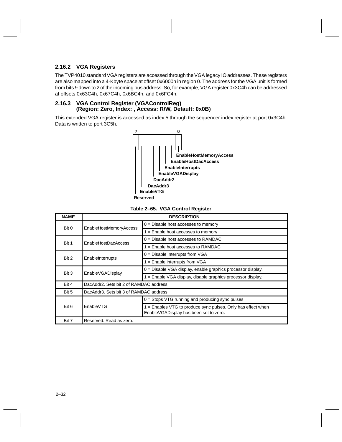### **2.16.2 VGA Registers**

The TVP4010 standard VGA registers are accessed through the VGA legacy IO addresses. These registers are also mapped into a 4-Kbyte space at offset 0x6000h in region 0. The address for the VGA unit is formed from bits 9 down to 2 of the incoming bus address. So, for example, VGA register 0x3C4h can be addressed at offsets 0x63C4h, 0x67C4h, 0x6BC4h, and 0x6FC4h.

#### **2.16.3 VGA Control Register (VGAControlReg) (Region: Zero, Index: , Access: R/W, Default: 0x0B)**

This extended VGA register is accessed as index 5 through the sequencer index register at port 0x3C4h. Data is written to port 3C5h.



| Table 2-65. VGA Control Register |  |  |  |
|----------------------------------|--|--|--|
|----------------------------------|--|--|--|

| <b>NAME</b> | <b>DESCRIPTION</b>                      |                                                                                                        |  |  |  |  |  |  |  |
|-------------|-----------------------------------------|--------------------------------------------------------------------------------------------------------|--|--|--|--|--|--|--|
| Bit 0       | <b>EnableHostMemoryAccess</b>           | $0 =$ Disable host accesses to memory                                                                  |  |  |  |  |  |  |  |
|             |                                         | 1 = Enable host accesses to memory                                                                     |  |  |  |  |  |  |  |
| Bit 1       | <b>EnableHostDacAccess</b>              | $0 =$ Disable host accesses to RAMDAC                                                                  |  |  |  |  |  |  |  |
|             |                                         | 1 = Enable host accesses to RAMDAC                                                                     |  |  |  |  |  |  |  |
| Bit 2       | EnableInterrupts                        | $0 =$ Disable interrupts from VGA                                                                      |  |  |  |  |  |  |  |
|             |                                         | 1 = Enable interrupts from VGA                                                                         |  |  |  |  |  |  |  |
| Bit 3       | EnableVGADisplay                        | 0 = Disable VGA display, enable graphics processor display.                                            |  |  |  |  |  |  |  |
|             |                                         | 1 = Enable VGA display, disable graphics processor display.                                            |  |  |  |  |  |  |  |
| Bit 4       | DacAddr2. Sets bit 2 of RAMDAC address. |                                                                                                        |  |  |  |  |  |  |  |
| Bit 5       | DacAddr3. Sets bit 3 of RAMDAC address. |                                                                                                        |  |  |  |  |  |  |  |
|             |                                         | $0 =$ Stops VTG running and producing sync pulses                                                      |  |  |  |  |  |  |  |
| Bit 6       | EnableVTG                               | 1 = Enables VTG to produce sync pulses. Only has effect when<br>EnableVGADisplay has been set to zero. |  |  |  |  |  |  |  |
| Bit 7       | Reserved. Read as zero.                 |                                                                                                        |  |  |  |  |  |  |  |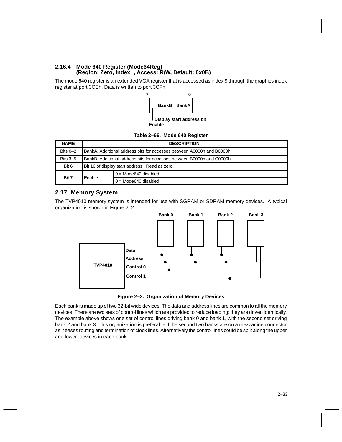### **2.16.4 Mode 640 Register (Mode64Reg) (Region: Zero, Index: , Access: R/W, Default: 0x0B)**

The mode 640 register is an extended VGA register that is accessed as index 9 through the graphics index register at port 3CEh. Data is written to port 3CFh.



#### **Table 2–66. Mode 640 Register**

| <b>NAME</b> |        | <b>DESCRIPTION</b>                                                     |  |  |  |  |  |  |  |  |
|-------------|--------|------------------------------------------------------------------------|--|--|--|--|--|--|--|--|
| Bits $0-2$  |        | BankA. Additional address bits for accesses between A0000h and B0000h. |  |  |  |  |  |  |  |  |
| Bits $3-5$  |        | BankB. Additional address bits for accesses between B0000h and C0000h. |  |  |  |  |  |  |  |  |
| Bit 6       |        | Bit 16 of display start address. Read as zero.                         |  |  |  |  |  |  |  |  |
|             | Enable | $0 = Mode640$ disabled                                                 |  |  |  |  |  |  |  |  |
| Bit 7       |        | $0 = Mode640$ disabled                                                 |  |  |  |  |  |  |  |  |

### **2.17 Memory System**

The TVP4010 memory system is intended for use with SGRAM or SDRAM memory devices. A typical organization is shown in Figure 2–2.





Each bank is made up of two 32-bit wide devices. The data and address lines are common to all the memory devices. There are two sets of control lines which are provided to reduce loading: they are driven identically. The example above shows one set of control lines driving bank 0 and bank 1, with the second set driving bank 2 and bank 3. This organization is preferable if the second two banks are on a mezzanine connector as it eases routing and termination of clock lines. Alternatively the control lines could be split along the upper and lower devices in each bank.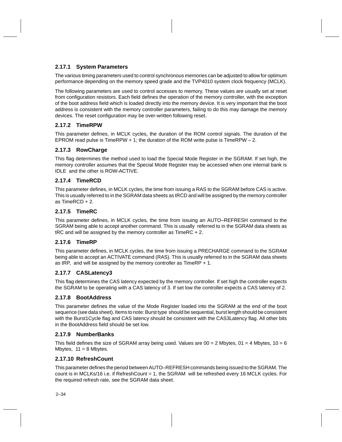### **2.17.1 System Parameters**

The various timing parameters used to control synchronous memories can be adjusted to allow for optimum performance depending on the memory speed grade and the TVP4010 system clock frequency (MCLK).

The following parameters are used to control accesses to memory. These values are usually set at reset from configuration resistors. Each field defines the operation of the memory controller, with the exception of the boot address field which is loaded directly into the memory device. It is very important that the boot address is consistent with the memory controller parameters, failing to do this may damage the memory devices. The reset configuration may be over-written following reset.

### **2.17.2 TimeRPW**

This parameter defines, in MCLK cycles, the duration of the ROM control signals. The duration of the EPROM read pulse is TimeRPW  $+1$ ; the duration of the ROM write pulse is TimeRPW  $-2$ .

### **2.17.3 RowCharge**

This flag determines the method used to load the Special Mode Register in the SGRAM. If set high, the memory controller assumes that the Special Mode Register may be accessed when one internal bank is IDLE and the other is ROW-ACTIVE.

### **2.17.4 TimeRCD**

This parameter defines, in MCLK cycles, the time from issuing a RAS to the SGRAM before CAS is active. This is usually referred to in the SGRAM data sheets as tRCD and will be assigned by the memory controller as TimeRCD + 2.

### **2.17.5 TimeRC**

This parameter defines, in MCLK cycles, the time from issuing an AUTO–REFRESH command to the SGRAM being able to accept another command. This is usually referred to in the SGRAM data sheets as tRC and will be assigned by the memory controller as TimeRC + 2.

### **2.17.6 TimeRP**

This parameter defines, in MCLK cycles, the time from issuing a PRECHARGE command to the SGRAM being able to accept an ACTIVATE command (RAS). This is usually referred to in the SGRAM data sheets as tRP, and will be assigned by the memory controller as TimeRP + 1.

### **2.17.7 CASLatency3**

This flag determines the CAS latency expected by the memory controller. If set high the controller expects the SGRAM to be operating with a CAS latency of 3. If set low the controller expects a CAS latency of 2.

### **2.17.8 BootAddress**

This parameter defines the value of the Mode Register loaded into the SGRAM at the end of the boot sequence (see data sheet). Items to note: Burst type should be sequential, burst length should be consistent with the Burst1Cycle flag and CAS latency should be consistent with the CAS3Latency flag. All other bits in the BootAddress field should be set low.

### **2.17.9 NumberBanks**

This field defines the size of SGRAM array being used. Values are  $00 = 2$  Mbytes,  $01 = 4$  Mbytes,  $10 = 6$ Mbytes,  $11 = 8$  Mbytes.

### **2.17.10 RefreshCount**

This parameter defines the period between AUTO–REFRESH commands being issued to the SGRAM. The count is in MCLKs/16 i.e. if RefreshCount = 1, the SGRAM will be refreshed every 16 MCLK cycles. For the required refresh rate, see the SGRAM data sheet.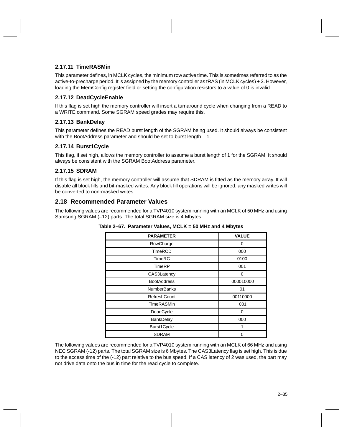### **2.17.11 TimeRASMin**

This parameter defines, in MCLK cycles, the minimum row active time. This is sometimes referred to as the active-to-precharge period. It is assigned by the memory controller as tRAS (in MCLK cycles) + 3. However, loading the MemConfig register field or setting the configuration resistors to a value of 0 is invalid.

### **2.17.12 DeadCycleEnable**

If this flag is set high the memory controller will insert a turnaround cycle when changing from a READ to a WRITE command. Some SGRAM speed grades may require this.

### **2.17.13 BankDelay**

This parameter defines the READ burst length of the SGRAM being used. It should always be consistent with the BootAddress parameter and should be set to burst length – 1.

### **2.17.14 Burst1Cycle**

This flag, if set high, allows the memory controller to assume a burst length of 1 for the SGRAM. It should always be consistent with the SGRAM BootAddress parameter.

### **2.17.15 SDRAM**

If this flag is set high, the memory controller will assume that SDRAM is fitted as the memory array. It will disable all block fills and bit-masked writes. Any block fill operations will be ignored, any masked writes will be converted to non-masked writes.

### **2.18 Recommended Parameter Values**

The following values are recommended for a TVP4010 system running with an MCLK of 50 MHz and using Samsung SGRAM (–12) parts. The total SGRAM size is 4 Mbytes.

| <b>PARAMETER</b>    | <b>VALUE</b> |
|---------------------|--------------|
| RowCharge           | 0            |
| TimeRCD             | 000          |
| <b>TimeRC</b>       | 0100         |
| <b>TimeRP</b>       | 001          |
| CAS3Latency         | 0            |
| <b>BootAddress</b>  | 000010000    |
| <b>NumberBanks</b>  | 01           |
| <b>RefreshCount</b> | 00110000     |
| TimeRASMin          | 001          |
| DeadCycle           | 0            |
| BankDelay           | 000          |
| Burst1Cycle         | 1            |
| <b>SDRAM</b>        | 0            |

**Table 2–67. Parameter Values, MCLK = 50 MHz and 4 Mbytes**

The following values are recommended for a TVP4010 system running with an MCLK of 66 MHz and using NEC SGRAM (-12) parts. The total SGRAM size is 6 Mbytes. The CAS3Latency flag is set high. This is due to the access time of the (-12) part relative to the bus speed. If a CAS latency of 2 was used, the part may not drive data onto the bus in time for the read cycle to complete.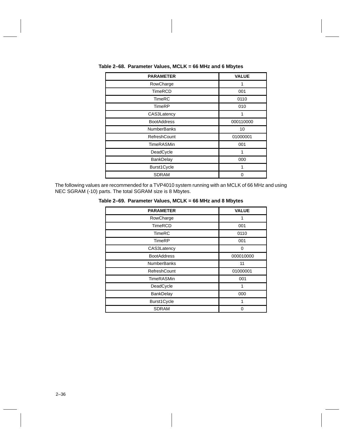| <b>PARAMETER</b>   | <b>VALUE</b> |
|--------------------|--------------|
| RowCharge          | 1            |
| <b>TimeRCD</b>     | 001          |
| TimeRC             | 0110         |
| <b>TimeRP</b>      | 010          |
| CAS3Latency        |              |
| <b>BootAddress</b> | 000110000    |
| <b>NumberBanks</b> | 10           |
| RefreshCount       | 01000001     |
| <b>TimeRASMin</b>  | 001          |
| DeadCycle          | 1            |
| BankDelay          | 000          |
| Burst1Cycle        | 1            |
| <b>SDRAM</b>       | ი            |

### **Table 2–68. Parameter Values, MCLK = 66 MHz and 6 Mbytes**

The following values are recommended for a TVP4010 system running with an MCLK of 66 MHz and using NEC SGRAM (-10) parts. The total SGRAM size is 8 Mbytes.

| <b>PARAMETER</b>    | <b>VALUE</b> |  |  |  |
|---------------------|--------------|--|--|--|
| RowCharge           | 1            |  |  |  |
| <b>TimeRCD</b>      | 001          |  |  |  |
| TimeRC              | 0110         |  |  |  |
| <b>TimeRP</b>       | 001          |  |  |  |
| CAS3Latency         | $\Omega$     |  |  |  |
| <b>BootAddress</b>  | 000010000    |  |  |  |
| <b>NumberBanks</b>  | 11           |  |  |  |
| <b>RefreshCount</b> | 01000001     |  |  |  |
| <b>TimeRASMin</b>   | 001          |  |  |  |
| DeadCycle           |              |  |  |  |
| BankDelay           | 000          |  |  |  |
| Burst1Cycle         |              |  |  |  |
| <b>SDRAM</b>        | 0            |  |  |  |

#### **Table 2–69. Parameter Values, MCLK = 66 MHz and 8 Mbytes**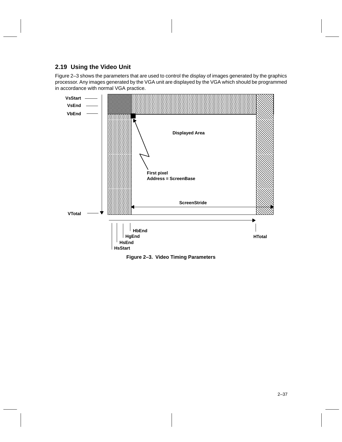# **2.19 Using the Video Unit**

Figure 2–3 shows the parameters that are used to control the display of images generated by the graphics processor. Any images generated by the VGA unit are displayed by the VGA which should be programmed in accordance with normal VGA practice.



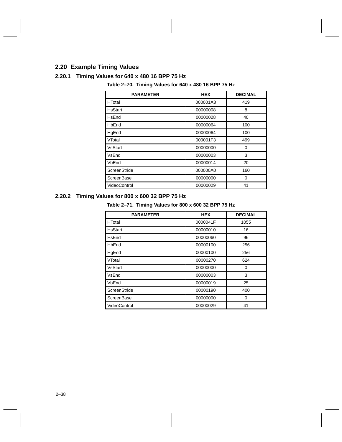# **2.20 Example Timing Values**

# **2.20.1 Timing Values for 640 x 480 16 BPP 75 Hz**

| <b>PARAMETER</b> | <b>HEX</b> | <b>DECIMAL</b> |
|------------------|------------|----------------|
| <b>HTotal</b>    | 000001A3   | 419            |
| <b>HsStart</b>   | 00000008   | 8              |
| <b>HsEnd</b>     | 00000028   | 40             |
| <b>HbEnd</b>     | 00000064   | 100            |
| HgEnd            | 00000064   | 100            |
| <b>VTotal</b>    | 000001F3   | 499            |
| VsStart          | 00000000   | 0              |
| VsEnd            | 00000003   | 3              |
| VbEnd            | 00000014   | 20             |
| ScreenStride     | 000000A0   | 160            |
| ScreenBase       | 00000000   | 0              |
| VideoControl     | 00000029   | 41             |

# **2.20.2 Timing Values for 800 x 600 32 BPP 75 Hz**

**Table 2–71. Timing Values for 800 x 600 32 BPP 75 Hz**

| <b>PARAMETER</b> | <b>HEX</b> | <b>DECIMAL</b> |
|------------------|------------|----------------|
| <b>HTotal</b>    | 0000041F   | 1055           |
| <b>HsStart</b>   | 00000010   | 16             |
| <b>HsEnd</b>     | 00000060   | 96             |
| <b>HbEnd</b>     | 00000100   | 256            |
| HgEnd            | 00000100   | 256            |
| VTotal           | 00000270   | 624            |
| VsStart          | 00000000   | 0              |
| VsEnd            | 00000003   | 3              |
| VbEnd            | 00000019   | 25             |
| ScreenStride     | 00000190   | 400            |
| ScreenBase       | 00000000   | 0              |
| VideoControl     | 00000029   | 41             |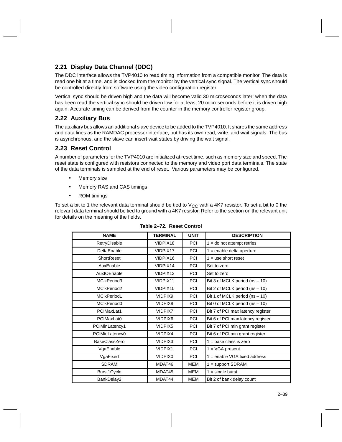# **2.21 Display Data Channel (DDC)**

The DDC interface allows the TVP4010 to read timing information from a compatible monitor. The data is read one bit at a time, and is clocked from the monitor by the vertical sync signal. The vertical sync should be controlled directly from software using the video configuration register.

Vertical sync should be driven high and the data will become valid 30 microseconds later; when the data has been read the vertical sync should be driven low for at least 20 microseconds before it is driven high again. Accurate timing can be derived from the counter in the memory controller register group.

# **2.22 Auxiliary Bus**

The auxiliary bus allows an additional slave device to be added to the TVP4010. It shares the same address and data lines as the RAMDAC processor interface, but has its own read, write, and wait signals. The bus is asynchronous, and the slave can insert wait states by driving the wait signal.

# **2.23 Reset Control**

A number of parameters for the TVP4010 are initialized at reset time, such as memory size and speed. The reset state is configured with resistors connected to the memory and video port data terminals. The state of the data terminals is sampled at the end of reset. Various parameters may be configured.

- Memory size
- Memory RAS and CAS timings
- ROM timings

To set a bit to 1 the relevant data terminal should be tied to  $V_{CC}$  with a 4K7 resistor. To set a bit to 0 the relevant data terminal should be tied to ground with a 4K7 resistor. Refer to the section on the relevant unit for details on the meaning of the fields.

| <b>NAME</b>    | <b>TERMINAL</b>      | <b>UNIT</b> | <b>DESCRIPTION</b>                 |  |  |
|----------------|----------------------|-------------|------------------------------------|--|--|
| RetryDisable   | VIDPIX18             | PCI         | $1 =$ do not attempt retries       |  |  |
| DeltaEnable    | VIDPIX17             | PCI         | $1$ = enable delta aperture        |  |  |
| ShortReset     | VIDPIX16             | PCI         | $1 =$ use short reset              |  |  |
| AuxEnable      | VIDPIX14             | PCI         | Set to zero                        |  |  |
| AuxIOEnable    | VIDPIX <sub>13</sub> | PCI         | Set to zero                        |  |  |
| MCIkPeriod3    | VIDPIX11             | PCI         | Bit 3 of MCLK period ( $ns - 10$ ) |  |  |
| MCIkPeriod2    | VIDPIX10             | PCI         | Bit 2 of MCLK period (ns - 10)     |  |  |
| MCIkPeriod1    | VIDPIX9              | PCI         | Bit 1 of MCLK period (ns - 10)     |  |  |
| MCIkPeriod0    | VIDPIX8              | PCI         | Bit 0 of MCLK period ( $ns - 10$ ) |  |  |
| PCIMaxLat1     | VIDPIX7              | PCI         | Bit 7 of PCI max latency register  |  |  |
| PCIMaxLat0     | VIDPIX6              | PCI         | Bit 6 of PCI max latency register  |  |  |
| PCIMinLatency1 | VIDPIX5              | PCI         | Bit 7 of PCI min grant register    |  |  |
| PCIMinLatency0 | VIDPIX4              | PCI         | Bit 6 of PCI min grant register    |  |  |
| BaseClassZero  | VIDPIX3              | PCI         | $1 = base class is zero$           |  |  |
| VgaEnable      | VIDPIX1              | PCI         | $1 = VGA present$                  |  |  |
| VgaFixed       | <b>VIDPIX0</b>       | PCI         | $1 =$ enable VGA fixed address     |  |  |
| <b>SDRAM</b>   | MDAT46               | <b>MEM</b>  | $1 = support SDRAM$                |  |  |
| Burst1Cycle    | MDAT45               | <b>MEM</b>  | $1 = \text{single burst}$          |  |  |
| BankDelay2     | MDAT44               | <b>MEM</b>  | Bit 2 of bank delay count          |  |  |

### **Table 2–72. Reset Control**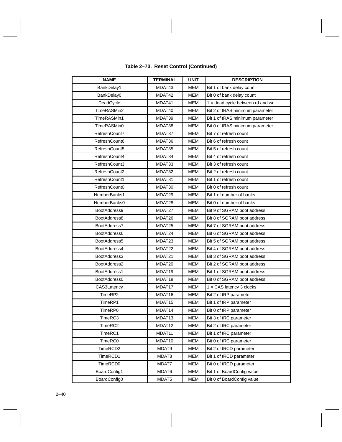| <b>NAME</b>   | <b>TERMINAL</b>    | <b>UNIT</b> | <b>DESCRIPTION</b>                 |  |  |
|---------------|--------------------|-------------|------------------------------------|--|--|
| BankDelay1    | MDAT43             | MEM         | Bit 1 of bank delay count          |  |  |
| BankDelay0    | MDAT42             | <b>MEM</b>  | Bit 0 of bank delay count          |  |  |
| DeadCycle     | MDAT41             | MEM         | $1 =$ dead cycle between rd and wr |  |  |
| TimeRASMin2   | MDAT40             | <b>MEM</b>  | Bit 2 of tRAS minimum parameter    |  |  |
| TimeRASMin1   | MDAT39             | MEM         | Bit 1 of tRAS minimum parameter    |  |  |
| TimeRASMin0   | MDAT38             | мем         | Bit 0 of tRAS minimum parameter    |  |  |
| RefreshCount7 | MDAT37             | MEM         | Bit 7 of refresh count             |  |  |
| RefreshCount6 | MDAT36             | MEM         | Bit 6 of refresh count             |  |  |
| RefreshCount5 | MDAT35             | MEM         | Bit 5 of refresh count             |  |  |
| RefreshCount4 | MDAT34             | MEM         | Bit 4 of refresh count             |  |  |
| RefreshCount3 | MDAT33             | <b>MEM</b>  | Bit 3 of refresh count             |  |  |
| RefreshCount2 | MDAT32             | MEM         | Bit 2 of refresh count             |  |  |
| RefreshCount1 | MDAT31             | мем         | Bit 1 of refresh count             |  |  |
| RefreshCount0 | MDAT30             | MEM         | Bit 0 of refresh count             |  |  |
| NumberBanks1  | MDAT29             | MEM         | Bit 1 of number of banks           |  |  |
| NumberBanks0  | MDAT28             | мем         | Bit 0 of number of banks           |  |  |
| BootAddress9  | MDAT27             | MEM         | Bit 9 of SGRAM boot address        |  |  |
| BootAddress8  | MDAT26             | MEM         | Bit 8 of SGRAM boot address        |  |  |
| BootAddress7  | MDAT25             | <b>MEM</b>  | Bit 7 of SGRAM boot address        |  |  |
| BootAddress6  | MDAT24             | MEM         | Bit 6 of SGRAM boot address        |  |  |
| BootAddress5  | MDAT23             | MEM         | Bit 5 of SGRAM boot address        |  |  |
| BootAddress4  | MDAT22             | мем         | Bit 4 of SGRAM boot address        |  |  |
| BootAddress3  | MDAT21             | мем         | Bit 3 of SGRAM boot address        |  |  |
| BootAddress2  | MDAT20             | MEM         | Bit 2 of SGRAM boot address        |  |  |
| BootAddress1  | MDAT19             | MEM         | Bit 1 of SGRAM boot address        |  |  |
| BootAddress0  | MDAT18             | MEM         | Bit 0 of SGRAM boot address        |  |  |
| CAS3Latency   | MDAT17             | MEM         | $1 = CAS$ latency 3 clocks         |  |  |
| TimeRP2       | MDAT16             | MEM         | Bit 2 of tRP parameter             |  |  |
| TimeRP1       | MDAT <sub>15</sub> | MEM         | Bit 1 of tRP parameter             |  |  |
| TimeRP0       | MDAT14             | MEM         | Bit 0 of tRP parameter             |  |  |
| TimeRC3       | MDAT <sub>13</sub> | <b>MEM</b>  | Bit 3 of tRC parameter             |  |  |
| TimeRC2       | MDAT12             | <b>MEM</b>  | Bit 2 of tRC parameter             |  |  |
| TimeRC1       | MDAT11             | MEM         | Bit 1 of tRC parameter             |  |  |
| TimeRC0       | MDAT10             | <b>MEM</b>  | Bit 0 of tRC parameter             |  |  |
| TimeRCD2      | MDAT9              | MEM         | Bit 2 of tRCD parameter            |  |  |
| TimeRCD1      | MDAT8              | MEM         | Bit 1 of tRCD parameter            |  |  |
| TimeRCD0      | MDAT7              | <b>MEM</b>  | Bit 0 of tRCD parameter            |  |  |
| BoardConfig1  | MDAT6              | MEM         | Bit 1 of BoardConfig value         |  |  |
| BoardConfig0  | MDAT5              | <b>MEM</b>  | Bit 0 of BoardConfig value         |  |  |

# **Table 2–73. Reset Control (Continued)**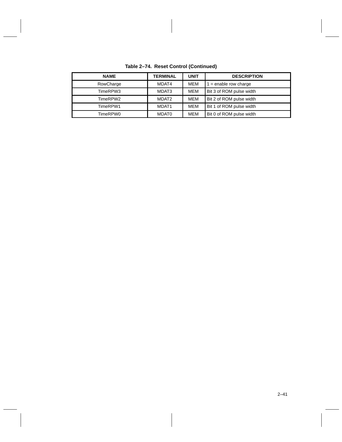| <b>NAME</b> | <b>TERMINAL</b> | <b>UNIT</b> | <b>DESCRIPTION</b>       |  |  |
|-------------|-----------------|-------------|--------------------------|--|--|
| RowCharge   | MDAT4           | MEM         | $=$ enable row charge    |  |  |
| TimeRPW3    | MDAT3           | MEM         | Bit 3 of ROM pulse width |  |  |
| TimeRPW2    | MDAT2           | MEM         | Bit 2 of ROM pulse width |  |  |
| TimeRPW1    | MDAT1           | MEM         | Bit 1 of ROM pulse width |  |  |
| TimeRPW0    | <b>MDAT0</b>    | MEM         | Bit 0 of ROM pulse width |  |  |

**Table 2–74. Reset Control (Continued)**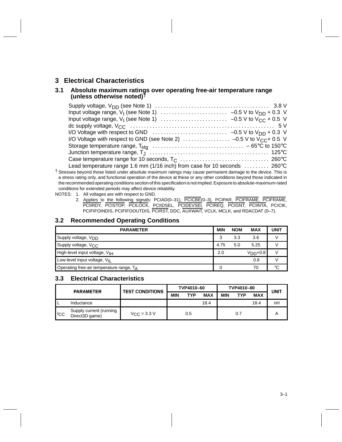# **3 Electrical Characteristics**

### **3.1 Absolute maximum ratings over operating free-air temperature range (unless otherwise noted)†**

| I/O Voltage with respect to GND $\ldots \ldots \ldots \ldots \ldots \ldots \ldots \ldots$ -0.5 V to V <sub>DD</sub> + 0.3 V |
|-----------------------------------------------------------------------------------------------------------------------------|
| I/O Voltage with respect to GND (see Note 2) $\ldots \ldots \ldots \ldots \ldots -0.5$ V to V <sub>CC</sub> + 0.5 V         |
|                                                                                                                             |
|                                                                                                                             |
|                                                                                                                             |
| Lead temperature range 1.6 mm (1/16 inch) from case for 10 seconds  260°C                                                   |
| sses beyond those listed under absolute maximum ratings may cause permanent damage to the device. This is                   |

† Stresses beyond those listed under absolute maximum ratings may cause per a stress rating only, and functional operation of the device at these or any other conditions beyond those indicated in the recommended operating conditions section of this specification is not implied. Exposure to absolute-maximum-rated conditions for extended periods may affect device reliability.

NOTES: 1. All voltages are with respect to GND.

2. Applies to the following signals: PCIAD(0–31), PCICBE(0–3), PCIPAR, PCIFRAME, PCIFRAME, PCIIRDY, PCISTOP, PCILOCK, PCIIDSEL, PCIDEVSEl, PCIREQ, PCIGNT, PCIINTA, PCIClK, PCIFIFOINDIS, PCIFIFOOUTDIS, PCIRST, DDC, AUXWAIT, VCLK, MCLK, and RDACDAT (0–7).

### **3.2 Recommended Operating Conditions**

| <b>PARAMETER</b>                          | <b>MIN</b> | <b>NOM</b> | <b>MAX</b> | UNIT |
|-------------------------------------------|------------|------------|------------|------|
| Supply voltage, V <sub>DD</sub>           | 3          | 3.3        | 3.6        |      |
| Supply voltage, V <sub>CC</sub>           | 4.75       | 5.0        | 5.25       |      |
| High-level input voltage, V <sub>IH</sub> | 2.0        |            | $VDD+0.8$  |      |
| Low-level input voltage, V <sub>II</sub>  |            |            | 0.8        |      |
| Operating free-air temperature range, TA  |            |            | 70         | °C   |

### **3.3 Electrical Characteristics**

| <b>PARAMETER</b> |                                                        | <b>TEST CONDITIONS</b> | TVP4010-60 |            |            | TVP4010-80 |            |      | UNIT |
|------------------|--------------------------------------------------------|------------------------|------------|------------|------------|------------|------------|------|------|
|                  |                                                        | MIN                    | TYP        | <b>MAX</b> | <b>MIN</b> | <b>TYP</b> | <b>MAX</b> |      |      |
|                  | Inductance                                             |                        |            |            | 18.4       |            |            | 18.4 | nH   |
| <sub>ICC</sub>   | Supply current (running<br>Direct <sub>3</sub> D game) | $V_{\rm CC}$ = 3.3 V   |            | 0.5        |            |            | 0.7        |      |      |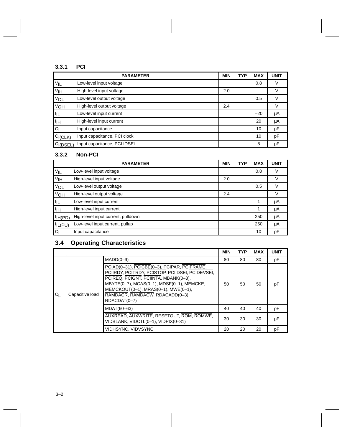# **3.3.1 PCI**

|                       | <b>PARAMETER</b>             | <b>MIN</b> | <b>TYP</b> | <b>MAX</b> | <b>UNIT</b> |
|-----------------------|------------------------------|------------|------------|------------|-------------|
| VIL                   | Low-level input voltage      |            |            | 0.8        | V           |
| VIH                   | High-level input voltage     | 2.0        |            |            | v           |
| VOL                   | Low-level output voltage     |            |            | 0.5        | V           |
| VOH                   | High-level output voltage    | 2.4        |            |            | V           |
| 肛                     | Low-level input current      |            |            | $-20$      | μA          |
| Ιιн                   | High-level input current     |            |            | 20         | μA          |
| C <sub>1</sub>        | Input capacitance            |            |            | 10         | pF          |
| C <sub>I</sub> (CLK)  | Input capacitance, PCI clock |            |            | 10         | pF          |
| C <sub>I</sub> (DSEL) | Input capacitance, PCI IDSEL |            |            | 8          | рF          |

# **3.3.2 Non-PCI**

|                     | <b>PARAMETER</b>                   | <b>MIN</b> | <b>TYP</b> | <b>MAX</b> | <b>UNIT</b> |
|---------------------|------------------------------------|------------|------------|------------|-------------|
| VIL                 | Low-level input voltage            |            |            | 0.8        | V           |
| V <sub>IH</sub>     | High-level input voltage           | 2.0        |            |            |             |
| VOL                 | Low-level output voltage           |            |            | 0.5        | v           |
| VOH                 | High-level output voltage          | 2.4        |            |            | V           |
| IЩ                  | Low-level input current            |            |            | 1          | μA          |
| ŀщ                  | High-level input current           |            |            | 4          | μA          |
| l <sub>H</sub> (PD) | High-level input current, pulldown |            |            | 250        | μA          |
| IL(PU)              | Low-level input current, pullup    |            |            | 250        | μA          |
| C <sub>1</sub>      | Input capacitance                  |            |            | 10         | pF          |

# **3.4 Operating Characteristics**

|    |                 |                                                                                                                                                                                                                                                                               | <b>MIN</b> | <b>TYP</b> | <b>MAX</b> | <b>UNIT</b> |
|----|-----------------|-------------------------------------------------------------------------------------------------------------------------------------------------------------------------------------------------------------------------------------------------------------------------------|------------|------------|------------|-------------|
|    |                 | $MADD(0-9)$                                                                                                                                                                                                                                                                   | 80         | 80         | 80         | pF          |
| Сı | Capacitive load | PCIAD(0-31), PCICBE(0-3), PCIPAR, PCIFRAME,<br>PCIIRDY, PCITRDY, PCISTOP, PCIIDSEI, PCIDEVSEI,<br>PCIREQ, PCIGNT, PCIINTA, MBANK(0-3),<br>MBYTE(0-7), MCAS(0-1), MDSF(0-1), MEMCKE,<br>MEMCKOUT(0-1), MRAS(0-1), MWE(0-1),<br>RAMDACR, RAMDACW, RDACADD(0-3),<br>RDACDAT(0-7) | 50         | 50         | 50         | рF          |
|    |                 | MDAT(60-63)                                                                                                                                                                                                                                                                   | 40         | 40         | 40         | pF          |
|    |                 | AUXREAD, AUXWRITE, RESETOUT, ROM, ROMWE,<br>VIDBLANK, VIDCTL(0-1), VIDPIX(0-31)                                                                                                                                                                                               | 30         | 30         | 30         | рF          |
|    |                 | VIDHSYNC, VIDVSYNC                                                                                                                                                                                                                                                            | 20         | 20         | 20         | рF          |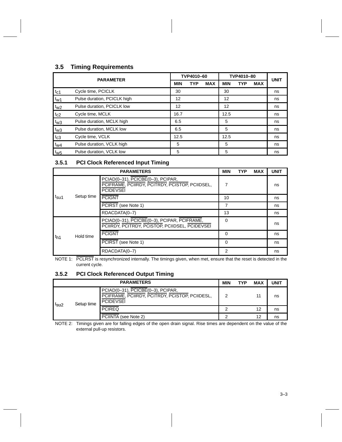# **3.5 Timing Requirements**

| <b>PARAMETER</b> |                             | TVP4010-60        |            |            | TVP4010-80 |            |            |             |
|------------------|-----------------------------|-------------------|------------|------------|------------|------------|------------|-------------|
|                  |                             | <b>MIN</b>        | <b>TYP</b> | <b>MAX</b> | <b>MIN</b> | <b>TYP</b> | <b>MAX</b> | <b>UNIT</b> |
| $t_{C1}$         | Cycle time, PCICLK          | 30                |            |            | 30         |            |            | ns          |
| t <sub>w1</sub>  | Pulse duration, PCICLK high | $12 \overline{ }$ |            |            | 12         |            |            | ns          |
| $t_{W2}$         | Pulse duration, PCICLK low  | 12                |            |            | 12         |            |            | ns          |
| $t_{C2}$         | Cycle time, MCLK            | 16.7              |            |            | 12.5       |            |            | ns          |
| $t_{\rm W3}$     | Pulse duration, MCLK high   | 6.5               |            |            | 5          |            |            | ns          |
| $t_{\rm W3}$     | Pulse duration, MCLK low    | 6.5               |            |            | 5          |            |            | ns          |
| $t_{\rm c3}$     | Cycle time, VCLK            | 12.5              |            |            | 12.5       |            |            | ns          |
| t <sub>w4</sub>  | Pulse duration, VCLK high   | 5                 |            |            | 5          |            |            | ns          |
| $t_{\text{W}}$ 5 | Pulse duration, VCLK low    | 5                 |            |            | 5          |            |            | ns          |

### **3.5.1 PCI Clock Referenced Input Timing**

|                  |            | <b>PARAMETERS</b>                                                                                       | <b>MIN</b> | <b>TYP</b> | <b>MAX</b> | <b>UNIT</b> |
|------------------|------------|---------------------------------------------------------------------------------------------------------|------------|------------|------------|-------------|
|                  |            | PCIAD(0-31), PCICBE(0-3), PCIPAR,<br>PCIFRAME, PCIIRDY, PCITRDY, PCISTOP, PCIIDSEL,<br><b>PCIDEVSEI</b> |            |            |            | ns          |
| t <sub>su1</sub> | Setup time | <b>PCIGNT</b>                                                                                           | 10         |            |            | ns          |
|                  |            | PCIRST (see Note 1)                                                                                     |            |            |            | ns          |
|                  |            | RDACDATA(0-7)                                                                                           | 13         |            |            | ns          |
|                  |            | PCIAD(0-31), PCICBE(0-3), PCIPAR, PCIFRAME,<br>PCIIRDY, PCITRDY, PCISTOP, PCIIDSEL, PCIDEVSEI           | 0          |            |            | ns          |
| th1              | Hold time  | <b>PCIGNT</b>                                                                                           | 0          |            |            | ns          |
|                  |            | PCIRST (see Note 1)                                                                                     | 0          |            |            | ns          |
|                  |            | RDACDATA(0-7)                                                                                           | 2          |            |            | ns          |

NOTE 1: PCLRST is resynchronized internally. The timings given, when met, ensure that the reset is detected in the current cycle.

### **3.5.2 PCI Clock Referenced Output Timing**

|                  |            | <b>PARAMETERS</b>                                                                                | MIN | <b>TYP</b> | <b>MAX</b> | UNIT |
|------------------|------------|--------------------------------------------------------------------------------------------------|-----|------------|------------|------|
| t <sub>su2</sub> | Setup time | PCIAD(0-31), PCICBE(0-3), PCIPAR,<br>PCIFRAME, PCIIRDY, PCITRDY, PCISTOP, PCIIDESL,<br>PCIDEVSEI | າ   |            | 11         | ns   |
|                  |            | <b>PCIREQ</b>                                                                                    |     |            | 12         | ns   |
|                  |            | PCIINTA (see Note 2)                                                                             |     |            | 12         | ns   |

NOTE 2: Timings given are for falling edges of the open drain signal. Rise times are dependent on the value of the external pull-up resistors.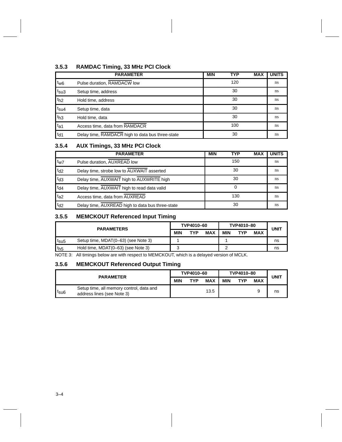# **3.5.3 RAMDAC Timing, 33 MHz PCI Clock**

|                   | <b>PARAMETER</b>                                 | <b>MAX</b><br><b>MIN</b><br><b>TYP</b> | <b>UNITS</b> |
|-------------------|--------------------------------------------------|----------------------------------------|--------------|
| t <sub>w6</sub>   | Pulse duration, RAMDACW low                      | 120                                    | ns           |
| $t_{\text{SU}}$ 3 | Setup time, address                              | 30                                     | ns           |
| $t_{h2}$          | Hold time, address                               | 30                                     | ns           |
| t <sub>su4</sub>  | Setup time, data                                 | 30                                     | ns           |
| $t_{h3}$          | Hold time, data                                  | 30                                     | ns           |
| t <sub>a1</sub>   | Access time, data from RAMDACR                   | 100                                    | ns           |
| $t_{d1}$          | Delay time, RAMDACR high to data bus three-state | 30                                     | ns           |

# **3.5.4 AUX Timings, 33 MHz PCI Clock**

|                 | <b>PARAMETER</b>                                 | <b>MIN</b><br><b>TYP</b> | <b>MAX</b> | <b>UNITS</b> |
|-----------------|--------------------------------------------------|--------------------------|------------|--------------|
| $t_{WZ}$        | Pulse duration, AUXREAD low                      | 150                      |            | ns           |
| $t_{d2}$        | Delay time, strobe low to AUXWAIT asserted       | 30                       |            | ns           |
| $t_{d3}$        | Delay time, AUXWAIT high to AUXWRITE high        | 30                       |            | ns           |
| $t_{d4}$        | Delay time, AUXWAIT high to read data valid      |                          |            | ns           |
| t <sub>a2</sub> | Access time, data from AUXREAD                   | 130                      |            | ns           |
| $t_{d2}$        | Delay time, AUXREAD high to data bus three-state | 30                       |            | ns           |

# **3.5.5 MEMCKOUT Referenced Input Timing**

| <b>PARAMETERS</b> |                                     | TVP4010-60 |            |            | TVP4010-80 |            |            | UNIT |
|-------------------|-------------------------------------|------------|------------|------------|------------|------------|------------|------|
|                   |                                     | <b>MIN</b> | <b>TYP</b> | <b>MAX</b> | <b>MIN</b> | <b>TYP</b> | <b>MAX</b> |      |
| t <sub>su5</sub>  | Setup time, MDAT(0-63) (see Note 3) |            |            |            |            |            |            | ns   |
| th5               | Hold time, MDAT(0-63) (see Note 3)  | ◠          |            |            |            |            |            | ns   |

NOTE 3: All timings below are with respect to MEMCKOUT, which is a delayed version of MCLK.

# **3.5.6 MEMCKOUT Referenced Output Timing**

| <b>PARAMETER</b> |                                                                        | TVP4010-60 |     |            | TVP4010-80 |            |            | UNIT |
|------------------|------------------------------------------------------------------------|------------|-----|------------|------------|------------|------------|------|
|                  |                                                                        | <b>MIN</b> | TVP | <b>MAX</b> | <b>MIN</b> | <b>TYP</b> | <b>MAX</b> |      |
| t <sub>su6</sub> | Setup time, all memory control, data and<br>address lines (see Note 3) |            |     | 13.5       |            |            |            | ns   |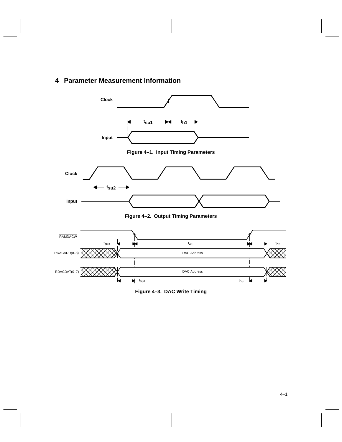# **4 Parameter Measurement Information**



**Figure 4–3. DAC Write Timing**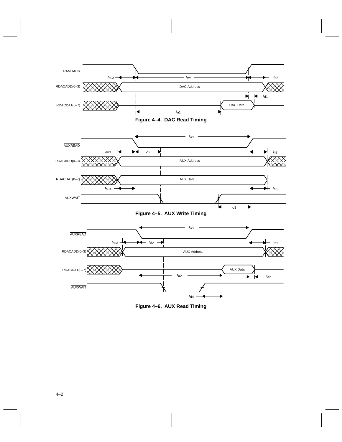

**Figure 4–6. AUX Read Timing**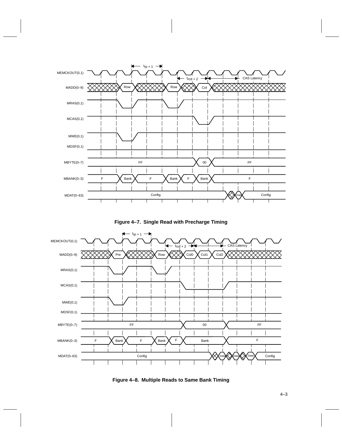





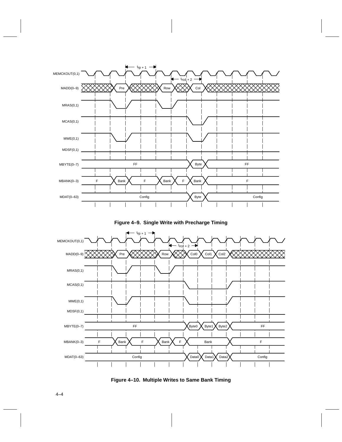





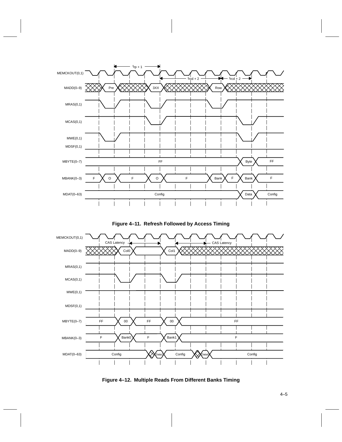





**Figure 4–12. Multiple Reads From Different Banks Timing**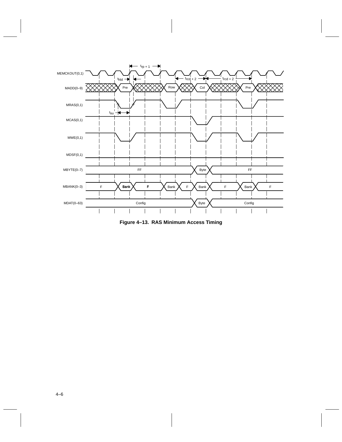

**Figure 4–13. RAS Minimum Access Timing**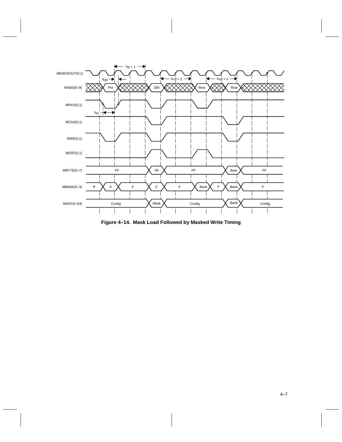

**Figure 4–14. Mask Load Followed by Masked Write Timing**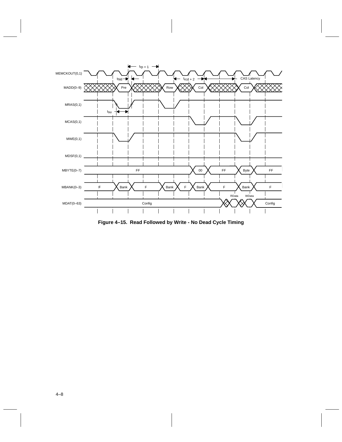

**Figure 4–15. Read Followed by Write - No Dead Cycle Timing**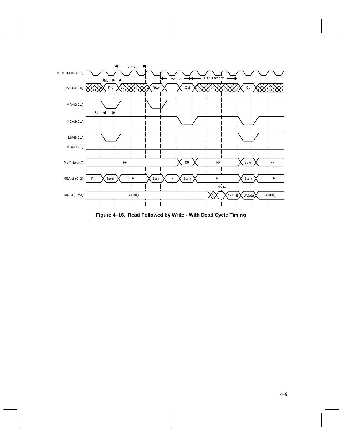

**Figure 4–16. Read Followed by Write - With Dead Cycle Timing**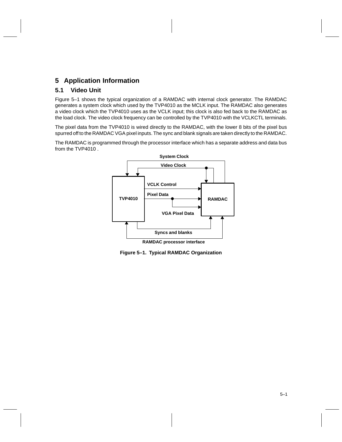# **5 Application Information**

#### **5.1 Video Unit**

Figure 5–1 shows the typical organization of a RAMDAC with internal clock generator. The RAMDAC generates a system clock which used by the TVP4010 as the MCLK input. The RAMDAC also generates a video clock which the TVP4010 uses as the VCLK input; this clock is also fed back to the RAMDAC as the load clock. The video clock frequency can be controlled by the TVP4010 with the VCLKCTL terminals.

The pixel data from the TVP4010 is wired directly to the RAMDAC, with the lower 8 bits of the pixel bus spurred off to the RAMDAC VGA pixel inputs. The sync and blank signals are taken directly to the RAMDAC.

The RAMDAC is programmed through the processor interface which has a separate address and data bus from the TVP4010 .



**RAMDAC processor interface**

**Figure 5–1. Typical RAMDAC Organization**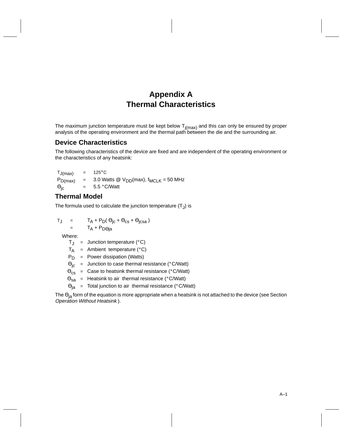# **Appendix A Thermal Characteristics**

The maximum junction temperature must be kept below  $T_{j(max)}$  and this can only be ensured by proper analysis of the operating environment and the thermal path between the die and the surrounding air.

#### **Device Characteristics**

The following characteristics of the device are fixed and are independent of the operating environment or the characteristics of any heatsink:

| TJ(max)                | $=$ | $125^{\circ}$ C                                                         |
|------------------------|-----|-------------------------------------------------------------------------|
| $P_{D(max)}$           | $=$ | 3.0 Watts $\circledR$ V <sub>DD</sub> (max), f <sub>MCLK</sub> = 50 MHz |
| $\Theta_{\sf j \sf c}$ | $=$ | 5.5 °C/Watt                                                             |

#### **Thermal Model**

The formula used to calculate the junction temperature  $(T_{J})$  is

$$
T_J = T_A + P_D(\Theta_{jC} + \Theta_{CS} + \Theta_{jCSa})
$$
  
= T\_A + P\_{D\Theta j a}

Where:

 $T_J$  = Junction temperature (°C)

 $T_A$  = Ambient temperature (°C)

 $P_D$  = Power dissipation (Watts)

 $P_D$  = Power dissipation (Watts)<br> $\Theta_{jc}$  = Junction to case thermal resistance (°C/Watt)

 $\Theta_{\text{jc}}$  = Junction to case thermal resistance (°C/Watt)<br>  $\Theta_{\text{cs}}$  = Case to heatsink thermal resistance (°C/Watt)  $\Theta_{\text{CS}}$  = Case to heatsink thermal resistance (°C/Watt)<br> $\Theta_{\text{SA}}$  = Heatsink to air thermal resistance (°C/Watt)

 $\Theta_{ia}$  = Total junction to air thermal resistance (°C/Watt)

The  $\Theta_{ja}$  form of the equation is more appropriate when a heatsink is not attached to the device (see Section Operation Without Heatsink ).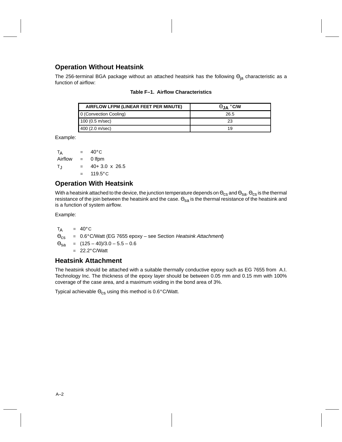## **Operation Without Heatsink**

The 256-terminal BGA package without an attached heatsink has the following  $\Theta_{ja}$  characteristic as a function of airflow:

| AIRFLOW LFPM (LINEAR FEET PER MINUTE) | ⊙ <sub>JA</sub> °C/W |
|---------------------------------------|----------------------|
| 0 (Convection Cooling)                | 26.5                 |
| 100 (0.5 m/sec)                       | 23                   |
| 400 (2.0 m/sec)                       | 19                   |

**Table F–1. Airflow Characteristics**

Example:

 $T_A$  = 40°C  $Airflow = 0$  lfpm  $T_J$  = 40+3.0 x 26.5<br>= 119.5°C

## **Operation With Heatsink**

With a heatsink attached to the device, the junction temperature depends on  $\Theta_{cs}$  and  $\Theta_{sa}$ .  $\Theta_{cs}$  is the thermal resistance of the join between the heatsink and the case. Θ<sub>sa</sub> is the thermal resistance of the heatsink and is a function of system airflow.

Example:

 $T_A$  = 40°C  $\Theta_{\text{cs}}$  = 0.6°C/Watt (EG 7655 epoxy – see Section Heatsink Attachment)  $\Theta_{\text{SA}}$  =  $(125 - 40)/3.0 - 5.5 - 0.6$ <br>= 22.2°C/Watt

#### **Heatsink Attachment**

The heatsink should be attached with a suitable thermally conductive epoxy such as EG 7655 from A.I. Technology Inc. The thickness of the epoxy layer should be between 0.05 mm and 0.15 mm with 100% coverage of the case area, and a maximum voiding in the bond area of 3%.

Typical achievable  $\Theta_{\text{cs}}$  using this method is 0.6°C/Watt.